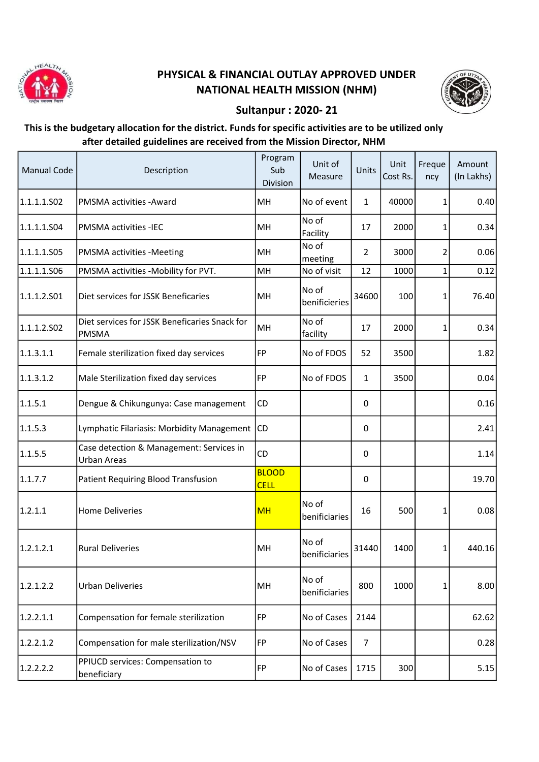

## PHYSICAL & FINANCIAL OUTLAY APPROVED UNDER NATIONAL HEALTH MISSION (NHM)



## Sultanpur : 2020- 21

## This is the budgetary allocation for the district. Funds for specific activities are to be utilized only after detailed guidelines are received from the Mission Director, NHM

| <b>Manual Code</b> | Description                                                    | Program<br>Sub<br>Division  | Unit of<br>Measure     | Units          | Unit<br>Cost Rs. | Freque<br>ncy | Amount<br>(In Lakhs) |
|--------------------|----------------------------------------------------------------|-----------------------------|------------------------|----------------|------------------|---------------|----------------------|
| 1.1.1.1.502        | <b>PMSMA activities - Award</b>                                | MH                          | No of event            | $\mathbf{1}$   | 40000            | 1             | 0.40                 |
| 1.1.1.1.S04        | <b>PMSMA activities -IEC</b>                                   | MH                          | No of<br>Facility      | 17             | 2000             | 1             | 0.34                 |
| 1.1.1.1.505        | <b>PMSMA activities -Meeting</b>                               | MH                          | No of<br>meeting       | $\overline{2}$ | 3000             | 2             | 0.06                 |
| 1.1.1.1.S06        | PMSMA activities -Mobility for PVT.                            | MH                          | No of visit            | 12             | 1000             | 1             | 0.12                 |
| 1.1.1.2.501        | Diet services for JSSK Beneficaries                            | MH                          | No of<br>benificieries | 34600          | 100              | 1             | 76.40                |
| 1.1.1.2.502        | Diet services for JSSK Beneficaries Snack for<br><b>PMSMA</b>  | MH                          | No of<br>facility      | 17             | 2000             | 1             | 0.34                 |
| 1.1.3.1.1          | Female sterilization fixed day services                        | FP                          | No of FDOS             | 52             | 3500             |               | 1.82                 |
| 1.1.3.1.2          | Male Sterilization fixed day services                          | FP                          | No of FDOS             | 1              | 3500             |               | 0.04                 |
| 1.1.5.1            | Dengue & Chikungunya: Case management                          | CD                          |                        | 0              |                  |               | 0.16                 |
| 1.1.5.3            | Lymphatic Filariasis: Morbidity Management                     | <b>CD</b>                   |                        | 0              |                  |               | 2.41                 |
| 1.1.5.5            | Case detection & Management: Services in<br><b>Urban Areas</b> | CD                          |                        | 0              |                  |               | 1.14                 |
| 1.1.7.7            | Patient Requiring Blood Transfusion                            | <b>BLOOD</b><br><b>CELL</b> |                        | 0              |                  |               | 19.70                |
| 1.2.1.1            | <b>Home Deliveries</b>                                         | <b>MH</b>                   | No of<br>benificiaries | 16             | 500              | 1             | 0.08                 |
| 1.2.1.2.1          | <b>Rural Deliveries</b>                                        | MH                          | No of<br>benificiaries | 31440          | 1400             | 1             | 440.16               |
| 1.2.1.2.2          | <b>Urban Deliveries</b>                                        | MH                          | No of<br>benificiaries | 800            | 1000             | 1             | 8.00                 |
| 1.2.2.1.1          | Compensation for female sterilization                          | FP                          | No of Cases            | 2144           |                  |               | 62.62                |
| 1.2.2.1.2          | Compensation for male sterilization/NSV                        | <b>FP</b>                   | No of Cases            | $\overline{7}$ |                  |               | 0.28                 |
| 1.2.2.2.2          | PPIUCD services: Compensation to<br>beneficiary                | FP                          | No of Cases            | 1715           | 300              |               | 5.15                 |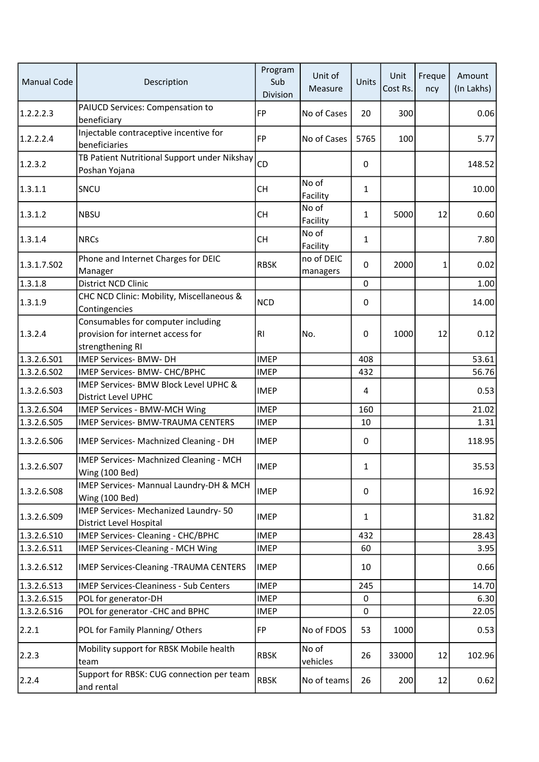| <b>Manual Code</b> | Description                                                                                 | Program<br>Sub<br>Division | Unit of<br>Measure     | Units        | Unit<br>Cost Rs. | Freque<br>ncy | Amount<br>(In Lakhs) |
|--------------------|---------------------------------------------------------------------------------------------|----------------------------|------------------------|--------------|------------------|---------------|----------------------|
| 1.2.2.2.3          | PAIUCD Services: Compensation to<br>beneficiary                                             | <b>FP</b>                  | No of Cases            | 20           | 300              |               | 0.06                 |
| 1.2.2.2.4          | Injectable contraceptive incentive for<br>beneficiaries                                     | FP                         | No of Cases            | 5765         | 100              |               | 5.77                 |
| 1.2.3.2            | TB Patient Nutritional Support under Nikshay<br>Poshan Yojana                               | CD                         |                        | 0            |                  |               | 148.52               |
| 1.3.1.1            | SNCU                                                                                        | <b>CH</b>                  | No of<br>Facility      | $\mathbf{1}$ |                  |               | 10.00                |
| 1.3.1.2            | <b>NBSU</b>                                                                                 | <b>CH</b>                  | No of<br>Facility      | $\mathbf{1}$ | 5000             | 12            | 0.60                 |
| 1.3.1.4            | <b>NRCs</b>                                                                                 | <b>CH</b>                  | No of<br>Facility      | $\mathbf{1}$ |                  |               | 7.80                 |
| 1.3.1.7.S02        | Phone and Internet Charges for DEIC<br>Manager                                              | <b>RBSK</b>                | no of DEIC<br>managers | 0            | 2000             | 1             | 0.02                 |
| 1.3.1.8            | District NCD Clinic                                                                         |                            |                        | 0            |                  |               | 1.00                 |
| 1.3.1.9            | CHC NCD Clinic: Mobility, Miscellaneous &<br>Contingencies                                  | <b>NCD</b>                 |                        | 0            |                  |               | 14.00                |
| 1.3.2.4            | Consumables for computer including<br>provision for internet access for<br>strengthening RI | R <sub>l</sub>             | No.                    | 0            | 1000             | 12            | 0.12                 |
| 1.3.2.6.S01        | IMEP Services- BMW- DH                                                                      | <b>IMEP</b>                |                        | 408          |                  |               | 53.61                |
| 1.3.2.6.S02        | IMEP Services- BMW- CHC/BPHC                                                                | <b>IMEP</b>                |                        | 432          |                  |               | 56.76                |
| 1.3.2.6.503        | IMEP Services- BMW Block Level UPHC &<br>District Level UPHC                                | <b>IMEP</b>                |                        | 4            |                  |               | 0.53                 |
| 1.3.2.6.504        | <b>IMEP Services - BMW-MCH Wing</b>                                                         | <b>IMEP</b>                |                        | 160          |                  |               | 21.02                |
| 1.3.2.6.S05        | <b>IMEP Services- BMW-TRAUMA CENTERS</b>                                                    | <b>IMEP</b>                |                        | 10           |                  |               | 1.31                 |
| 1.3.2.6.506        | IMEP Services- Machnized Cleaning - DH                                                      | <b>IMEP</b>                |                        | 0            |                  |               | 118.95               |
| 1.3.2.6.S07        | IMEP Services- Machnized Cleaning - MCH<br>Wing (100 Bed)                                   | <b>IMEP</b>                |                        | 1            |                  |               | 35.53                |
| 1.3.2.6.508        | IMEP Services- Mannual Laundry-DH & MCH<br>Wing (100 Bed)                                   | <b>IMEP</b>                |                        | 0            |                  |               | 16.92                |
| 1.3.2.6.S09        | IMEP Services- Mechanized Laundry- 50<br>District Level Hospital                            | <b>IMEP</b>                |                        | $\mathbf{1}$ |                  |               | 31.82                |
| 1.3.2.6.S10        | IMEP Services- Cleaning - CHC/BPHC                                                          | <b>IMEP</b>                |                        | 432          |                  |               | 28.43                |
| 1.3.2.6.511        | <b>IMEP Services-Cleaning - MCH Wing</b>                                                    | <b>IMEP</b>                |                        | 60           |                  |               | 3.95                 |
| 1.3.2.6.512        | <b>IMEP Services-Cleaning -TRAUMA CENTERS</b>                                               | <b>IMEP</b>                |                        | 10           |                  |               | 0.66                 |
| 1.3.2.6.513        | <b>IMEP Services-Cleaniness - Sub Centers</b>                                               | <b>IMEP</b>                |                        | 245          |                  |               | 14.70                |
| 1.3.2.6.S15        | POL for generator-DH                                                                        | <b>IMEP</b>                |                        | $\pmb{0}$    |                  |               | 6.30                 |
| 1.3.2.6.516        | POL for generator - CHC and BPHC                                                            | <b>IMEP</b>                |                        | 0            |                  |               | 22.05                |
| 2.2.1              | POL for Family Planning/Others                                                              | FP                         | No of FDOS             | 53           | 1000             |               | 0.53                 |
| 2.2.3              | Mobility support for RBSK Mobile health<br>team                                             | <b>RBSK</b>                | No of<br>vehicles      | 26           | 33000            | 12            | 102.96               |
| 2.2.4              | Support for RBSK: CUG connection per team<br>and rental                                     | <b>RBSK</b>                | No of teams            | 26           | 200              | 12            | 0.62                 |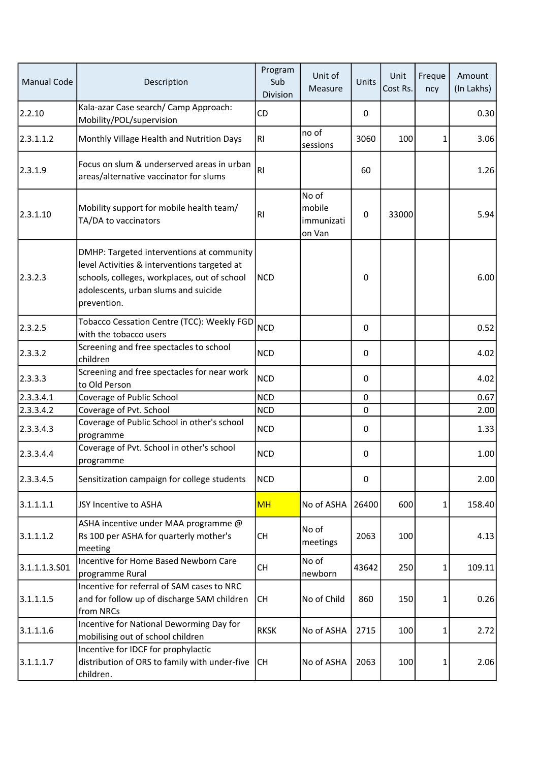| <b>Manual Code</b> | Description                                                                                                                                                                                      | Program<br>Sub<br>Division | Unit of<br>Measure                      | Units       | Unit<br>Cost Rs. | Freque<br>ncy | Amount<br>(In Lakhs) |
|--------------------|--------------------------------------------------------------------------------------------------------------------------------------------------------------------------------------------------|----------------------------|-----------------------------------------|-------------|------------------|---------------|----------------------|
| 2.2.10             | Kala-azar Case search/ Camp Approach:<br>Mobility/POL/supervision                                                                                                                                | CD                         |                                         | 0           |                  |               | 0.30                 |
| 2.3.1.1.2          | Monthly Village Health and Nutrition Days                                                                                                                                                        | RI                         | no of<br>sessions                       | 3060        | 100              | 1             | 3.06                 |
| 2.3.1.9            | Focus on slum & underserved areas in urban<br>areas/alternative vaccinator for slums                                                                                                             | RI                         |                                         | 60          |                  |               | 1.26                 |
| 2.3.1.10           | Mobility support for mobile health team/<br>TA/DA to vaccinators                                                                                                                                 | R <sub>l</sub>             | No of<br>mobile<br>immunizati<br>on Van | 0           | 33000            |               | 5.94                 |
| 2.3.2.3            | DMHP: Targeted interventions at community<br>level Activities & interventions targeted at<br>schools, colleges, workplaces, out of school<br>adolescents, urban slums and suicide<br>prevention. | <b>NCD</b>                 |                                         | 0           |                  |               | 6.00                 |
| 2.3.2.5            | Tobacco Cessation Centre (TCC): Weekly FGD<br>with the tobacco users                                                                                                                             | <b>NCD</b>                 |                                         | 0           |                  |               | 0.52                 |
| 2.3.3.2            | Screening and free spectacles to school<br>children                                                                                                                                              | <b>NCD</b>                 |                                         | 0           |                  |               | 4.02                 |
| 2.3.3.3            | Screening and free spectacles for near work<br>to Old Person                                                                                                                                     | <b>NCD</b>                 |                                         | 0           |                  |               | 4.02                 |
| 2.3.3.4.1          | Coverage of Public School                                                                                                                                                                        | <b>NCD</b>                 |                                         | $\mathbf 0$ |                  |               | 0.67                 |
| 2.3.3.4.2          | Coverage of Pvt. School                                                                                                                                                                          | <b>NCD</b>                 |                                         | 0           |                  |               | 2.00                 |
| 2.3.3.4.3          | Coverage of Public School in other's school<br>programme                                                                                                                                         | <b>NCD</b>                 |                                         | 0           |                  |               | 1.33                 |
| 2.3.3.4.4          | Coverage of Pvt. School in other's school<br>programme                                                                                                                                           | <b>NCD</b>                 |                                         | 0           |                  |               | 1.00                 |
| 2.3.3.4.5          | Sensitization campaign for college students                                                                                                                                                      | <b>NCD</b>                 |                                         | 0           |                  |               | 2.00                 |
| 3.1.1.1.1          | JSY Incentive to ASHA                                                                                                                                                                            | <b>MH</b>                  | No of ASHA                              | 26400       | 600              | $\mathbf{1}$  | 158.40               |
| 3.1.1.1.2          | ASHA incentive under MAA programme @<br>Rs 100 per ASHA for quarterly mother's<br>meeting                                                                                                        | <b>CH</b>                  | No of<br>meetings                       | 2063        | 100              |               | 4.13                 |
| 3.1.1.1.3.501      | Incentive for Home Based Newborn Care<br>programme Rural                                                                                                                                         | <b>CH</b>                  | No of<br>newborn                        | 43642       | 250              | 1             | 109.11               |
| 3.1.1.1.5          | Incentive for referral of SAM cases to NRC<br>and for follow up of discharge SAM children<br>from NRCs                                                                                           | <b>CH</b>                  | No of Child                             | 860         | 150              | 1             | 0.26                 |
| 3.1.1.1.6          | Incentive for National Deworming Day for<br>mobilising out of school children                                                                                                                    | <b>RKSK</b>                | No of ASHA                              | 2715        | 100              | 1             | 2.72                 |
| 3.1.1.1.7          | Incentive for IDCF for prophylactic<br>distribution of ORS to family with under-five<br>children.                                                                                                | <b>CH</b>                  | No of ASHA                              | 2063        | 100              | 1             | 2.06                 |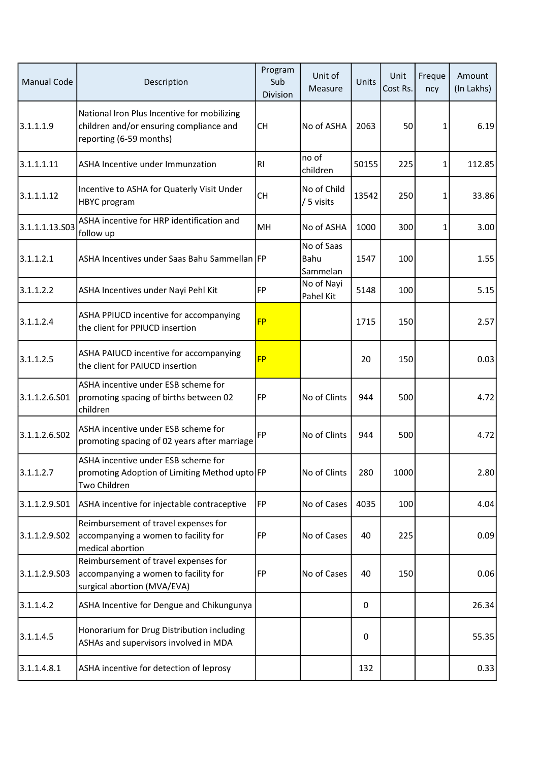| <b>Manual Code</b> | Description                                                                                                       | Program<br>Sub<br>Division | Unit of<br>Measure             | Units | Unit<br>Cost Rs. | Freque<br>ncy | Amount<br>(In Lakhs) |
|--------------------|-------------------------------------------------------------------------------------------------------------------|----------------------------|--------------------------------|-------|------------------|---------------|----------------------|
| 3.1.1.1.9          | National Iron Plus Incentive for mobilizing<br>children and/or ensuring compliance and<br>reporting (6-59 months) | <b>CH</b>                  | No of ASHA                     | 2063  | 50               | 1             | 6.19                 |
| 3.1.1.1.11         | ASHA Incentive under Immunzation                                                                                  | <b>RI</b>                  | no of<br>children              | 50155 | 225              | 1             | 112.85               |
| 3.1.1.1.12         | Incentive to ASHA for Quaterly Visit Under<br>HBYC program                                                        | <b>CH</b>                  | No of Child<br>/ 5 visits      | 13542 | 250              | 1             | 33.86                |
| 3.1.1.1.13.S03     | ASHA incentive for HRP identification and<br>follow up                                                            | MH                         | No of ASHA                     | 1000  | 300              | 1             | 3.00                 |
| 3.1.1.2.1          | ASHA Incentives under Saas Bahu Sammellan FP                                                                      |                            | No of Saas<br>Bahu<br>Sammelan | 1547  | 100              |               | 1.55                 |
| 3.1.1.2.2          | ASHA Incentives under Nayi Pehl Kit                                                                               | FP                         | No of Nayi<br>Pahel Kit        | 5148  | 100              |               | 5.15                 |
| 3.1.1.2.4          | ASHA PPIUCD incentive for accompanying<br>the client for PPIUCD insertion                                         | <b>FP</b>                  |                                | 1715  | 150              |               | 2.57                 |
| 3.1.1.2.5          | ASHA PAIUCD incentive for accompanying<br>the client for PAIUCD insertion                                         | <b>FP</b>                  |                                | 20    | 150              |               | 0.03                 |
| 3.1.1.2.6.501      | ASHA incentive under ESB scheme for<br>promoting spacing of births between 02<br>children                         | FP                         | No of Clints                   | 944   | 500              |               | 4.72                 |
| 3.1.1.2.6.S02      | ASHA incentive under ESB scheme for<br>promoting spacing of 02 years after marriage                               | FP                         | No of Clints                   | 944   | 500              |               | 4.72                 |
| 3.1.1.2.7          | ASHA incentive under ESB scheme for<br>promoting Adoption of Limiting Method upto FP<br>Two Children              |                            | No of Clints                   | 280   | 1000             |               | 2.80                 |
| 3.1.1.2.9.501      | ASHA incentive for injectable contraceptive                                                                       | FP                         | No of Cases                    | 4035  | 100              |               | 4.04                 |
| 3.1.1.2.9.502      | Reimbursement of travel expenses for<br>accompanying a women to facility for<br>medical abortion                  | FP                         | No of Cases                    | 40    | 225              |               | 0.09                 |
| 3.1.1.2.9.503      | Reimbursement of travel expenses for<br>accompanying a women to facility for<br>surgical abortion (MVA/EVA)       | FP                         | No of Cases                    | 40    | 150              |               | 0.06                 |
| 3.1.1.4.2          | ASHA Incentive for Dengue and Chikungunya                                                                         |                            |                                | 0     |                  |               | 26.34                |
| 3.1.1.4.5          | Honorarium for Drug Distribution including<br>ASHAs and supervisors involved in MDA                               |                            |                                | 0     |                  |               | 55.35                |
| 3.1.1.4.8.1        | ASHA incentive for detection of leprosy                                                                           |                            |                                | 132   |                  |               | 0.33                 |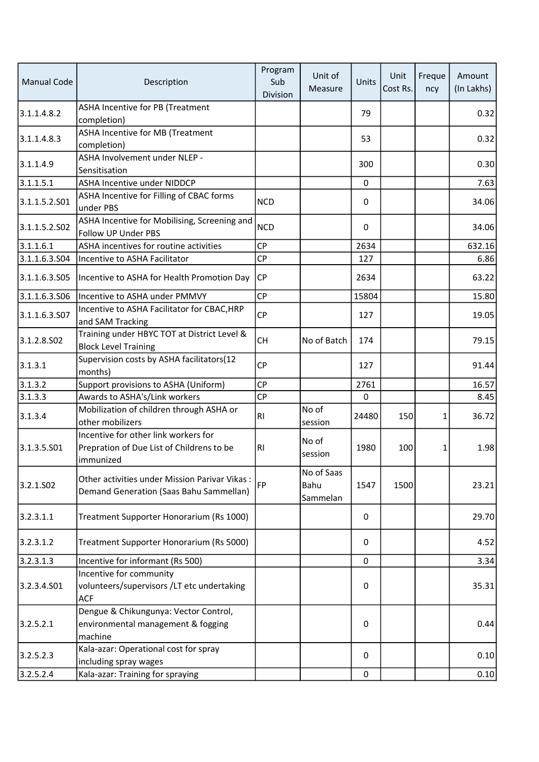| <b>Manual Code</b> | Description                                                                                          | Program<br>Sub<br>Division | Unit of<br>Measure             | Units     | Unit<br>Cost Rs. | Freque<br>ncy | Amount<br>(In Lakhs) |
|--------------------|------------------------------------------------------------------------------------------------------|----------------------------|--------------------------------|-----------|------------------|---------------|----------------------|
| 3.1.1.4.8.2        | <b>ASHA Incentive for PB (Treatment</b><br>completion)                                               |                            |                                | 79        |                  |               | 0.32                 |
| 3.1.1.4.8.3        | <b>ASHA Incentive for MB (Treatment</b><br>completion)                                               |                            |                                | 53        |                  |               | 0.32                 |
| 3.1.1.4.9          | ASHA Involvement under NLEP -<br>Sensitisation                                                       |                            |                                | 300       |                  |               | 0.30                 |
| 3.1.1.5.1          | <b>ASHA Incentive under NIDDCP</b>                                                                   |                            |                                | $\pmb{0}$ |                  |               | 7.63                 |
| 3.1.1.5.2.501      | ASHA Incentive for Filling of CBAC forms<br>under PBS                                                | <b>NCD</b>                 |                                | 0         |                  |               | 34.06                |
| 3.1.1.5.2.502      | ASHA Incentive for Mobilising, Screening and<br>Follow UP Under PBS                                  | <b>NCD</b>                 |                                | 0         |                  |               | 34.06                |
| 3.1.1.6.1          | ASHA incentives for routine activities                                                               | <b>CP</b>                  |                                | 2634      |                  |               | 632.16               |
| 3.1.1.6.3.504      | Incentive to ASHA Facilitator                                                                        | <b>CP</b>                  |                                | 127       |                  |               | 6.86                 |
| 3.1.1.6.3.505      | Incentive to ASHA for Health Promotion Day                                                           | CP                         |                                | 2634      |                  |               | 63.22                |
| 3.1.1.6.3.506      | Incentive to ASHA under PMMVY                                                                        | CP                         |                                | 15804     |                  |               | 15.80                |
| 3.1.1.6.3.S07      | Incentive to ASHA Facilitator for CBAC, HRP<br>and SAM Tracking                                      | <b>CP</b>                  |                                | 127       |                  |               | 19.05                |
| 3.1.2.8.502        | Training under HBYC TOT at District Level &<br><b>Block Level Training</b>                           | <b>CH</b>                  | No of Batch                    | 174       |                  |               | 79.15                |
| 3.1.3.1            | Supervision costs by ASHA facilitators(12<br>months)                                                 | <b>CP</b>                  |                                | 127       |                  |               | 91.44                |
| 3.1.3.2            | Support provisions to ASHA (Uniform)                                                                 | <b>CP</b>                  |                                | 2761      |                  |               | 16.57                |
| 3.1.3.3            | Awards to ASHA's/Link workers                                                                        | <b>CP</b>                  |                                | 0         |                  |               | 8.45                 |
| 3.1.3.4            | Mobilization of children through ASHA or<br>other mobilizers                                         | RI                         | No of<br>session               | 24480     | 150              | 1             | 36.72                |
| 3.1.3.5.501        | Incentive for other link workers for<br>Prepration of Due List of Childrens to be<br>immunized       | R <sub>l</sub>             | No of<br>session               | 1980      | 100              | 1             | 1.98                 |
| 3.2.1.502          | Other activities under Mission Parivar Vikas:<br>Demand Generation (Saas Bahu Sammellan)             | <b>FP</b>                  | No of Saas<br>Bahu<br>Sammelan | 1547      | 1500             |               | 23.21                |
| 3.2.3.1.1          | Treatment Supporter Honorarium (Rs 1000)                                                             |                            |                                | 0         |                  |               | 29.70                |
| 3.2.3.1.2          | Treatment Supporter Honorarium (Rs 5000)                                                             |                            |                                | 0         |                  |               | 4.52                 |
| 3.2.3.1.3          | Incentive for informant (Rs 500)                                                                     |                            |                                | 0         |                  |               | 3.34                 |
| 3.2.3.4.S01        | Incentive for community<br>volunteers/supervisors /LT etc undertaking                                |                            |                                | 0         |                  |               | 35.31                |
| 3.2.5.2.1          | <b>ACF</b><br>Dengue & Chikungunya: Vector Control,<br>environmental management & fogging<br>machine |                            |                                | 0         |                  |               | 0.44                 |
| 3.2.5.2.3          | Kala-azar: Operational cost for spray<br>including spray wages                                       |                            |                                | 0         |                  |               | 0.10                 |
| 3.2.5.2.4          | Kala-azar: Training for spraying                                                                     |                            |                                | $\pmb{0}$ |                  |               | 0.10                 |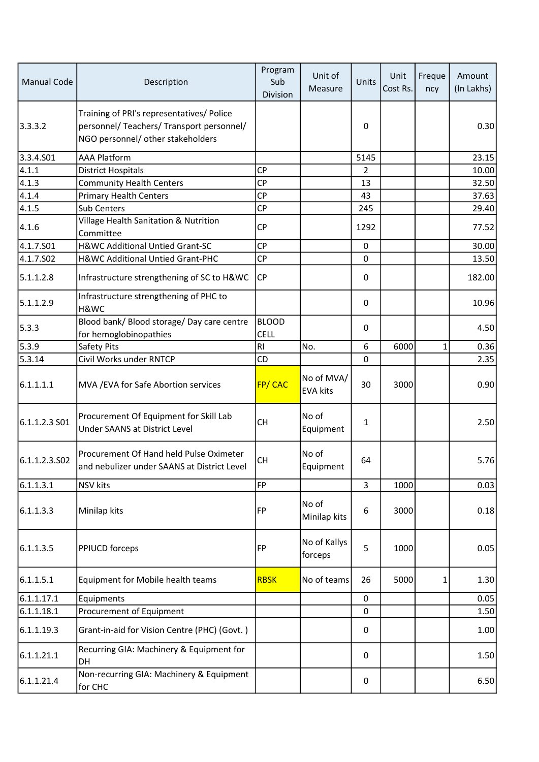| <b>Manual Code</b>    | Description                                                                                                                 | Program<br>Sub<br>Division  | Unit of<br>Measure            | Units       | Unit<br>Cost Rs. | Freque<br>ncy | Amount<br>(In Lakhs) |
|-----------------------|-----------------------------------------------------------------------------------------------------------------------------|-----------------------------|-------------------------------|-------------|------------------|---------------|----------------------|
| 3.3.3.2               | Training of PRI's representatives/ Police<br>personnel/ Teachers/ Transport personnel/<br>NGO personnel/ other stakeholders |                             |                               | 0           |                  |               | 0.30                 |
| 3.3.4.501             | <b>AAA Platform</b>                                                                                                         |                             |                               | 5145        |                  |               | 23.15                |
| 4.1.1                 | <b>District Hospitals</b>                                                                                                   | <b>CP</b>                   |                               | 2           |                  |               | 10.00                |
| 4.1.3                 | <b>Community Health Centers</b>                                                                                             | <b>CP</b>                   |                               | 13          |                  |               | 32.50                |
| 4.1.4                 | <b>Primary Health Centers</b>                                                                                               | <b>CP</b>                   |                               | 43          |                  |               | 37.63                |
| 4.1.5                 | Sub Centers                                                                                                                 | CP                          |                               | 245         |                  |               | 29.40                |
| 4.1.6                 | Village Health Sanitation & Nutrition<br>Committee                                                                          | <b>CP</b>                   |                               | 1292        |                  |               | 77.52                |
| 4.1.7.501             | H&WC Additional Untied Grant-SC                                                                                             | <b>CP</b>                   |                               | $\mathbf 0$ |                  |               | 30.00                |
| 4.1.7.SO <sub>2</sub> | H&WC Additional Untied Grant-PHC                                                                                            | СP                          |                               | 0           |                  |               | 13.50                |
| 5.1.1.2.8             | Infrastructure strengthening of SC to H&WC                                                                                  | CP                          |                               | $\mathbf 0$ |                  |               | 182.00               |
| 5.1.1.2.9             | Infrastructure strengthening of PHC to<br>H&WC                                                                              |                             |                               | 0           |                  |               | 10.96                |
| 5.3.3                 | Blood bank/ Blood storage/ Day care centre<br>for hemoglobinopathies                                                        | <b>BLOOD</b><br><b>CELL</b> |                               | 0           |                  |               | 4.50                 |
| 5.3.9                 | Safety Pits                                                                                                                 | R <sub>l</sub>              | No.                           | 6           | 6000             | $\mathbf{1}$  | 0.36                 |
| 5.3.14                | Civil Works under RNTCP                                                                                                     | CD                          |                               | 0           |                  |               | 2.35                 |
| 6.1.1.1.1             | MVA / EVA for Safe Abortion services                                                                                        | FP/CAC                      | No of MVA/<br><b>EVA kits</b> | 30          | 3000             |               | 0.90                 |
| 6.1.1.2.3 SO1         | Procurement Of Equipment for Skill Lab<br>Under SAANS at District Level                                                     | <b>CH</b>                   | No of<br>Equipment            | 1           |                  |               | 2.50                 |
| 6.1.1.2.3.502         | Procurement Of Hand held Pulse Oximeter<br>and nebulizer under SAANS at District Level                                      | CH                          | No of<br>Equipment            | 64          |                  |               | 5.76                 |
| 6.1.1.3.1             | <b>NSV</b> kits                                                                                                             | <b>FP</b>                   |                               | 3           | 1000             |               | 0.03                 |
| 6.1.1.3.3             | Minilap kits                                                                                                                | FP                          | No of<br>Minilap kits         | 6           | 3000             |               | 0.18                 |
| 6.1.1.3.5             | <b>PPIUCD forceps</b>                                                                                                       | FP                          | No of Kallys<br>forceps       | 5           | 1000             |               | 0.05                 |
| 6.1.1.5.1             | Equipment for Mobile health teams                                                                                           | <b>RBSK</b>                 | No of teams                   | 26          | 5000             | 1             | 1.30                 |
| 6.1.1.17.1            | Equipments                                                                                                                  |                             |                               | $\mathbf 0$ |                  |               | 0.05                 |
| 6.1.1.18.1            | Procurement of Equipment                                                                                                    |                             |                               | 0           |                  |               | 1.50                 |
| 6.1.1.19.3            | Grant-in-aid for Vision Centre (PHC) (Govt.)                                                                                |                             |                               | 0           |                  |               | 1.00                 |
| 6.1.1.21.1            | Recurring GIA: Machinery & Equipment for<br>DH                                                                              |                             |                               | 0           |                  |               | 1.50                 |
| 6.1.1.21.4            | Non-recurring GIA: Machinery & Equipment<br>for CHC                                                                         |                             |                               | 0           |                  |               | 6.50                 |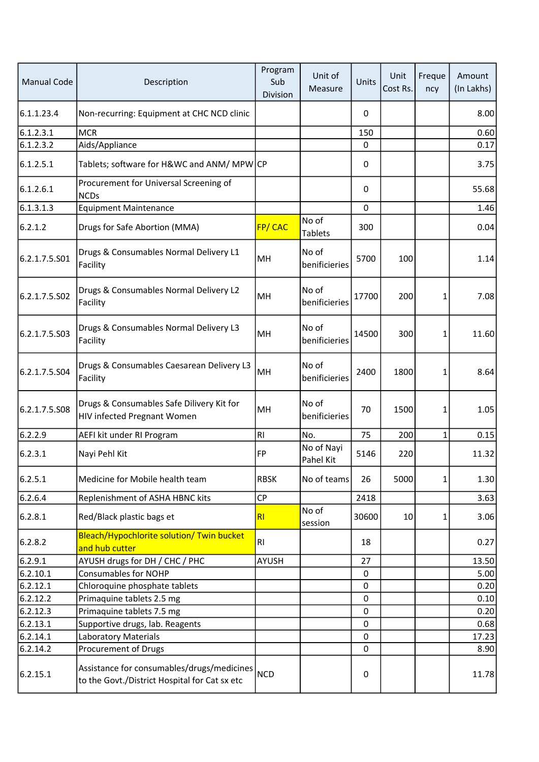| <b>Manual Code</b> | Description                                                                                 | Program<br>Sub<br><b>Division</b> | Unit of<br>Measure      | Units       | Unit<br>Cost Rs. | Freque<br>ncy | Amount<br>(In Lakhs) |
|--------------------|---------------------------------------------------------------------------------------------|-----------------------------------|-------------------------|-------------|------------------|---------------|----------------------|
| 6.1.1.23.4         | Non-recurring: Equipment at CHC NCD clinic                                                  |                                   |                         | 0           |                  |               | 8.00                 |
| 6.1.2.3.1          | <b>MCR</b>                                                                                  |                                   |                         | 150         |                  |               | 0.60                 |
| 6.1.2.3.2          | Aids/Appliance                                                                              |                                   |                         | $\mathbf 0$ |                  |               | 0.17                 |
| 6.1.2.5.1          | Tablets; software for H&WC and ANM/ MPW CP                                                  |                                   |                         | 0           |                  |               | 3.75                 |
| 6.1.2.6.1          | Procurement for Universal Screening of<br><b>NCDs</b>                                       |                                   |                         | 0           |                  |               | 55.68                |
| 6.1.3.1.3          | <b>Equipment Maintenance</b>                                                                |                                   |                         | 0           |                  |               | 1.46                 |
| 6.2.1.2            | Drugs for Safe Abortion (MMA)                                                               | <b>FP/CAC</b>                     | No of<br><b>Tablets</b> | 300         |                  |               | 0.04                 |
| 6.2.1.7.5.S01      | Drugs & Consumables Normal Delivery L1<br>Facility                                          | MH                                | No of<br>benificieries  | 5700        | 100              |               | 1.14                 |
| 6.2.1.7.5.S02      | Drugs & Consumables Normal Delivery L2<br>Facility                                          | MH                                | No of<br>benificieries  | 17700       | 200              | 1             | 7.08                 |
| 6.2.1.7.5.503      | Drugs & Consumables Normal Delivery L3<br>Facility                                          | MH                                | No of<br>benificieries  | 14500       | 300              | 1             | 11.60                |
| 6.2.1.7.5.504      | Drugs & Consumables Caesarean Delivery L3<br>Facility                                       | MH                                | No of<br>benificieries  | 2400        | 1800             | 1             | 8.64                 |
| 6.2.1.7.5.508      | Drugs & Consumables Safe Dilivery Kit for<br>HIV infected Pregnant Women                    | MH                                | No of<br>benificieries  | 70          | 1500             | 1             | 1.05                 |
| 6.2.2.9            | AEFI kit under RI Program                                                                   | R1                                | No.                     | 75          | 200              | $\mathbf{1}$  | 0.15                 |
| 6.2.3.1            | Nayi Pehl Kit                                                                               | <b>FP</b>                         | No of Nayi<br>Pahel Kit | 5146        | 220              |               | 11.32                |
| 6.2.5.1            | Medicine for Mobile health team                                                             | <b>RBSK</b>                       | No of teams             | 26          | 5000             | 1             | 1.30                 |
| 6.2.6.4            | Replenishment of ASHA HBNC kits                                                             | <b>CP</b>                         |                         | 2418        |                  |               | 3.63                 |
| 6.2.8.1            | Red/Black plastic bags et                                                                   | RI                                | No of<br>session        | 30600       | 10               | 1             | 3.06                 |
| 6.2.8.2            | Bleach/Hypochlorite solution/ Twin bucket<br>and hub cutter                                 | RI                                |                         | 18          |                  |               | 0.27                 |
| 6.2.9.1            | AYUSH drugs for DH / CHC / PHC                                                              | AYUSH                             |                         | 27          |                  |               | 13.50                |
| 6.2.10.1           | <b>Consumables for NOHP</b>                                                                 |                                   |                         | $\pmb{0}$   |                  |               | 5.00                 |
| 6.2.12.1           | Chloroquine phosphate tablets                                                               |                                   |                         | 0           |                  |               | 0.20                 |
| 6.2.12.2           | Primaquine tablets 2.5 mg                                                                   |                                   |                         | $\pmb{0}$   |                  |               | 0.10                 |
| 6.2.12.3           | Primaquine tablets 7.5 mg                                                                   |                                   |                         | 0           |                  |               | 0.20                 |
| 6.2.13.1           | Supportive drugs, lab. Reagents                                                             |                                   |                         | $\mathbf 0$ |                  |               | 0.68                 |
| 6.2.14.1           | <b>Laboratory Materials</b>                                                                 |                                   |                         | $\mathbf 0$ |                  |               | 17.23                |
| 6.2.14.2           | Procurement of Drugs                                                                        |                                   |                         | 0           |                  |               | 8.90                 |
| 6.2.15.1           | Assistance for consumables/drugs/medicines<br>to the Govt./District Hospital for Cat sx etc | <b>NCD</b>                        |                         | 0           |                  |               | 11.78                |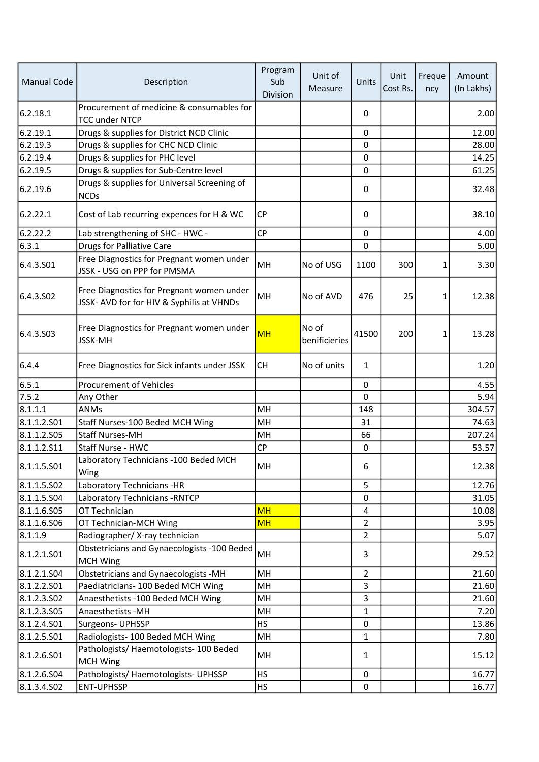| <b>Manual Code</b> | Description                                                                            | Program<br>Sub<br>Division | Unit of<br>Measure     | Units          | Unit<br>Cost Rs. | Freque<br>ncy | Amount<br>(In Lakhs) |
|--------------------|----------------------------------------------------------------------------------------|----------------------------|------------------------|----------------|------------------|---------------|----------------------|
| 6.2.18.1           | Procurement of medicine & consumables for<br><b>TCC under NTCP</b>                     |                            |                        | 0              |                  |               | 2.00                 |
| 6.2.19.1           | Drugs & supplies for District NCD Clinic                                               |                            |                        | $\mathbf 0$    |                  |               | 12.00                |
| 6.2.19.3           | Drugs & supplies for CHC NCD Clinic                                                    |                            |                        | 0              |                  |               | 28.00                |
| 6.2.19.4           | Drugs & supplies for PHC level                                                         |                            |                        | $\mathbf 0$    |                  |               | 14.25                |
| 6.2.19.5           | Drugs & supplies for Sub-Centre level                                                  |                            |                        | $\mathbf 0$    |                  |               | 61.25                |
| 6.2.19.6           | Drugs & supplies for Universal Screening of<br><b>NCDs</b>                             |                            |                        | 0              |                  |               | 32.48                |
| 6.2.22.1           | Cost of Lab recurring expences for H & WC                                              | <b>CP</b>                  |                        | 0              |                  |               | 38.10                |
| 6.2.22.2           | Lab strengthening of SHC - HWC -                                                       | <b>CP</b>                  |                        | 0              |                  |               | 4.00                 |
| 6.3.1              | <b>Drugs for Palliative Care</b>                                                       |                            |                        | 0              |                  |               | 5.00                 |
| 6.4.3.S01          | Free Diagnostics for Pregnant women under<br>JSSK - USG on PPP for PMSMA               | MH                         | No of USG              | 1100           | 300              | 1             | 3.30                 |
| 6.4.3.SO2          | Free Diagnostics for Pregnant women under<br>JSSK- AVD for for HIV & Syphilis at VHNDs | MH                         | No of AVD              | 476            | 25               | 1             | 12.38                |
| 6.4.3.503          | Free Diagnostics for Pregnant women under<br><b>JSSK-MH</b>                            | <b>MH</b>                  | No of<br>benificieries | 41500          | 200              | 1             | 13.28                |
| 6.4.4              | Free Diagnostics for Sick infants under JSSK                                           | <b>CH</b>                  | No of units            | $\mathbf 1$    |                  |               | 1.20                 |
| 6.5.1              | <b>Procurement of Vehicles</b>                                                         |                            |                        | 0              |                  |               | 4.55                 |
| 7.5.2              | Any Other                                                                              |                            |                        | $\mathbf 0$    |                  |               | 5.94                 |
| 8.1.1.1            | ANMs                                                                                   | MH                         |                        | 148            |                  |               | 304.57               |
| 8.1.1.2.501        | Staff Nurses-100 Beded MCH Wing                                                        | MH                         |                        | 31             |                  |               | 74.63                |
| 8.1.1.2.505        | <b>Staff Nurses-MH</b>                                                                 | MH                         |                        | 66             |                  |               | 207.24               |
| 8.1.1.2.511        | Staff Nurse - HWC                                                                      | <b>CP</b>                  |                        | 0              |                  |               | 53.57                |
| 8.1.1.5.501        | Laboratory Technicians - 100 Beded MCH<br>Wing                                         | MH                         |                        | 6              |                  |               | 12.38                |
| 8.1.1.5.502        | Laboratory Technicians -HR                                                             |                            |                        | 5              |                  |               | 12.76                |
| 8.1.1.5.504        | Laboratory Technicians - RNTCP                                                         |                            |                        | 0              |                  |               | 31.05                |
| 8.1.1.6.S05        | OT Technician                                                                          | <b>MH</b>                  |                        | 4              |                  |               | 10.08                |
| 8.1.1.6.506        | OT Technician-MCH Wing                                                                 | <b>MH</b>                  |                        | $\overline{2}$ |                  |               | 3.95                 |
| 8.1.1.9            | Radiographer/X-ray technician                                                          |                            |                        | $\overline{2}$ |                  |               | 5.07                 |
| 8.1.2.1.501        | Obstetricians and Gynaecologists -100 Beded<br><b>MCH Wing</b>                         | MH                         |                        | 3              |                  |               | 29.52                |
| 8.1.2.1.504        | <b>Obstetricians and Gynaecologists -MH</b>                                            | MH                         |                        | $\overline{2}$ |                  |               | 21.60                |
| 8.1.2.2.501        | Paediatricians- 100 Beded MCH Wing                                                     | MH                         |                        | 3              |                  |               | 21.60                |
| 8.1.2.3.502        | Anaesthetists - 100 Beded MCH Wing                                                     | MH                         |                        | 3              |                  |               | 21.60                |
| 8.1.2.3.505        | Anaesthetists - MH                                                                     | MH                         |                        | $\mathbf{1}$   |                  |               | 7.20                 |
| 8.1.2.4.501        | Surgeons- UPHSSP                                                                       | <b>HS</b>                  |                        | 0              |                  |               | 13.86                |
| 8.1.2.5.501        | Radiologists- 100 Beded MCH Wing                                                       | MH                         |                        | $\mathbf 1$    |                  |               | 7.80                 |
| 8.1.2.6.501        | Pathologists/Haemotologists-100 Beded<br><b>MCH Wing</b>                               | MH                         |                        | 1              |                  |               | 15.12                |
| 8.1.2.6.504        | Pathologists/ Haemotologists- UPHSSP                                                   | <b>HS</b>                  |                        | $\mathbf 0$    |                  |               | 16.77                |
| 8.1.3.4.502        | ENT-UPHSSP                                                                             | <b>HS</b>                  |                        | $\pmb{0}$      |                  |               | 16.77                |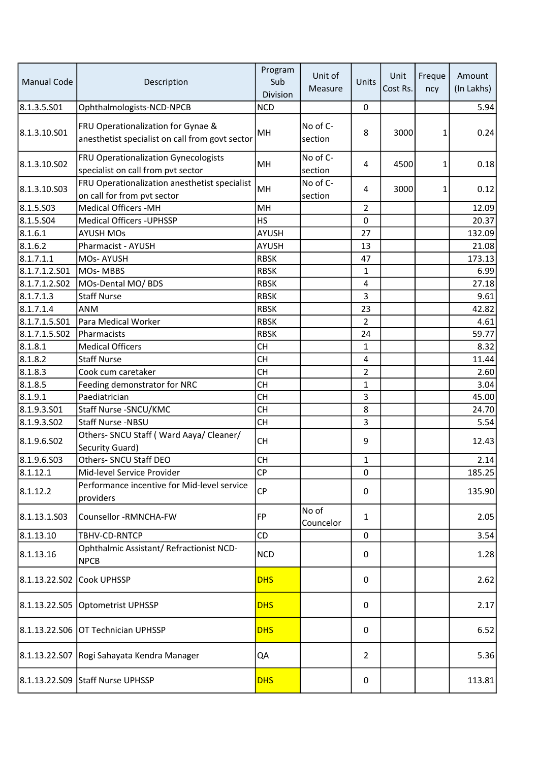| <b>Manual Code</b> | Description                                                                           | Program<br>Sub<br>Division | Unit of<br>Measure  | Units          | Unit<br>Cost Rs. | Freque<br>ncy | Amount<br>(In Lakhs) |
|--------------------|---------------------------------------------------------------------------------------|----------------------------|---------------------|----------------|------------------|---------------|----------------------|
| 8.1.3.5.501        | Ophthalmologists-NCD-NPCB                                                             | <b>NCD</b>                 |                     | 0              |                  |               | 5.94                 |
| 8.1.3.10.S01       | FRU Operationalization for Gynae &<br>anesthetist specialist on call from govt sector | MH                         | No of C-<br>section | 8              | 3000             | $\mathbf{1}$  | 0.24                 |
| 8.1.3.10.S02       | <b>FRU Operationalization Gynecologists</b><br>specialist on call from pvt sector     | MH                         | No of C-<br>section | 4              | 4500             | 1             | 0.18                 |
| 8.1.3.10.S03       | FRU Operationalization anesthetist specialist<br>on call for from pvt sector          | MH                         | No of C-<br>section | 4              | 3000             | $\mathbf{1}$  | 0.12                 |
| 8.1.5.503          | <b>Medical Officers -MH</b>                                                           | MH                         |                     | $\overline{2}$ |                  |               | 12.09                |
| 8.1.5.504          | <b>Medical Officers - UPHSSP</b>                                                      | <b>HS</b>                  |                     | 0              |                  |               | 20.37                |
| 8.1.6.1            | <b>AYUSH MOs</b>                                                                      | <b>AYUSH</b>               |                     | 27             |                  |               | 132.09               |
| 8.1.6.2            | Pharmacist - AYUSH                                                                    | <b>AYUSH</b>               |                     | 13             |                  |               | 21.08                |
| 8.1.7.1.1          | MOs-AYUSH                                                                             | <b>RBSK</b>                |                     | 47             |                  |               | 173.13               |
| 8.1.7.1.2.501      | MOs-MBBS                                                                              | <b>RBSK</b>                |                     | 1              |                  |               | 6.99                 |
| 8.1.7.1.2.S02      | MOs-Dental MO/ BDS                                                                    | <b>RBSK</b>                |                     | 4              |                  |               | 27.18                |
| 8.1.7.1.3          | <b>Staff Nurse</b>                                                                    | <b>RBSK</b>                |                     | 3              |                  |               | 9.61                 |
| 8.1.7.1.4          | ANM                                                                                   | <b>RBSK</b>                |                     | 23             |                  |               | 42.82                |
| 8.1.7.1.5.S01      | Para Medical Worker                                                                   | <b>RBSK</b>                |                     | $\overline{2}$ |                  |               | 4.61                 |
| 8.1.7.1.5.S02      | Pharmacists                                                                           | <b>RBSK</b>                |                     | 24             |                  |               | 59.77                |
| 8.1.8.1            | <b>Medical Officers</b>                                                               | <b>CH</b>                  |                     | $\mathbf 1$    |                  |               | 8.32                 |
| 8.1.8.2            | <b>Staff Nurse</b>                                                                    | <b>CH</b>                  |                     | 4              |                  |               | 11.44                |
| 8.1.8.3            | Cook cum caretaker                                                                    | <b>CH</b>                  |                     | $\overline{2}$ |                  |               | 2.60                 |
| 8.1.8.5            | Feeding demonstrator for NRC                                                          | <b>CH</b>                  |                     | $\mathbf 1$    |                  |               | 3.04                 |
| 8.1.9.1            | Paediatrician                                                                         | <b>CH</b>                  |                     | 3              |                  |               | 45.00                |
| 8.1.9.3.501        | Staff Nurse - SNCU/KMC                                                                | <b>CH</b>                  |                     | 8              |                  |               | 24.70                |
| 8.1.9.3.502        | <b>Staff Nurse -NBSU</b>                                                              | <b>CH</b>                  |                     | 3              |                  |               | 5.54                 |
| 8.1.9.6.502        | Others- SNCU Staff (Ward Aaya/ Cleaner/<br>Security Guard)                            | <b>CH</b>                  |                     | 9              |                  |               | 12.43                |
| 8.1.9.6.S03        | Others- SNCU Staff DEO                                                                | <b>CH</b>                  |                     | 1              |                  |               | 2.14                 |
| 8.1.12.1           | Mid-level Service Provider                                                            | <b>CP</b>                  |                     | 0              |                  |               | 185.25               |
| 8.1.12.2           | Performance incentive for Mid-level service<br>providers                              | <b>CP</b>                  |                     | 0              |                  |               | 135.90               |
| 8.1.13.1.503       | Counsellor -RMNCHA-FW                                                                 | <b>FP</b>                  | No of<br>Councelor  | $\mathbf{1}$   |                  |               | 2.05                 |
| 8.1.13.10          | TBHV-CD-RNTCP                                                                         | CD                         |                     | 0              |                  |               | 3.54                 |
| 8.1.13.16          | Ophthalmic Assistant/ Refractionist NCD-<br><b>NPCB</b>                               | <b>NCD</b>                 |                     | 0              |                  |               | 1.28                 |
| 8.1.13.22.S02      | Cook UPHSSP                                                                           | <b>DHS</b>                 |                     | 0              |                  |               | 2.62                 |
|                    | 8.1.13.22.S05 Optometrist UPHSSP                                                      | <b>DHS</b>                 |                     | 0              |                  |               | 2.17                 |
|                    | 8.1.13.22.S06 OT Technician UPHSSP                                                    | <b>DHS</b>                 |                     | 0              |                  |               | 6.52                 |
|                    | 8.1.13.22.S07 Rogi Sahayata Kendra Manager                                            | QA                         |                     | $\overline{2}$ |                  |               | 5.36                 |
|                    | 8.1.13.22.S09 Staff Nurse UPHSSP                                                      | <b>DHS</b>                 |                     | 0              |                  |               | 113.81               |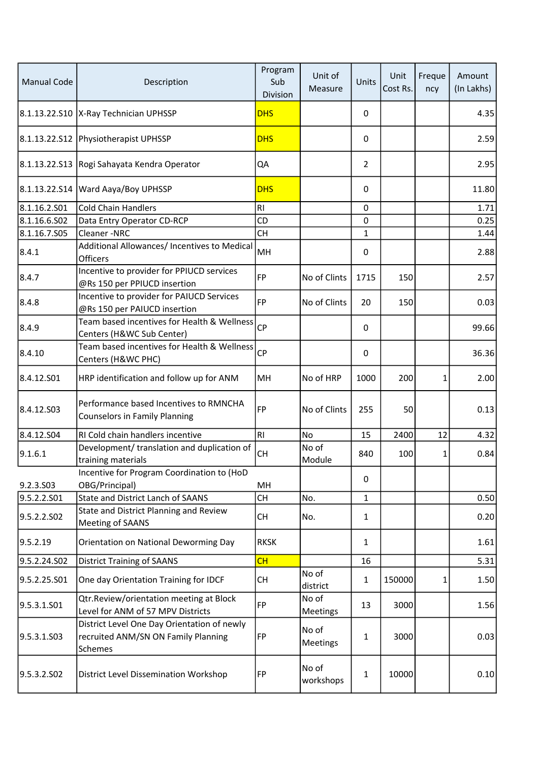| <b>Manual Code</b> | Description                                                                                   | Program<br>Sub<br>Division | Unit of<br>Measure       | Units          | Unit<br>Cost Rs. | Freque<br>ncy | Amount<br>(In Lakhs) |
|--------------------|-----------------------------------------------------------------------------------------------|----------------------------|--------------------------|----------------|------------------|---------------|----------------------|
|                    | 8.1.13.22.S10  X-Ray Technician UPHSSP                                                        | <b>DHS</b>                 |                          | 0              |                  |               | 4.35                 |
|                    | 8.1.13.22.S12 Physiotherapist UPHSSP                                                          | <b>DHS</b>                 |                          | 0              |                  |               | 2.59                 |
|                    | 8.1.13.22.S13 Rogi Sahayata Kendra Operator                                                   | QA                         |                          | $\overline{2}$ |                  |               | 2.95                 |
| 8.1.13.22.S14      | Ward Aaya/Boy UPHSSP                                                                          | <b>DHS</b>                 |                          | 0              |                  |               | 11.80                |
| 8.1.16.2.S01       | <b>Cold Chain Handlers</b>                                                                    | R <sub>l</sub>             |                          | 0              |                  |               | 1.71                 |
| 8.1.16.6.S02       | Data Entry Operator CD-RCP                                                                    | CD                         |                          | 0              |                  |               | 0.25                 |
| 8.1.16.7.S05       | Cleaner-NRC                                                                                   | <b>CH</b>                  |                          | $\mathbf{1}$   |                  |               | 1.44                 |
| 8.4.1              | Additional Allowances/ Incentives to Medical<br><b>Officers</b>                               | MH                         |                          | 0              |                  |               | 2.88                 |
| 8.4.7              | Incentive to provider for PPIUCD services<br>@Rs 150 per PPIUCD insertion                     | <b>FP</b>                  | No of Clints             | 1715           | 150              |               | 2.57                 |
| 8.4.8              | Incentive to provider for PAIUCD Services<br>@Rs 150 per PAIUCD insertion                     | FP                         | No of Clints             | 20             | 150              |               | 0.03                 |
| 8.4.9              | Team based incentives for Health & Wellness<br>Centers (H&WC Sub Center)                      | <b>CP</b>                  |                          | 0              |                  |               | 99.66                |
| 8.4.10             | Team based incentives for Health & Wellness<br>Centers (H&WC PHC)                             | <b>CP</b>                  |                          | 0              |                  |               | 36.36                |
| 8.4.12.501         | HRP identification and follow up for ANM                                                      | MH                         | No of HRP                | 1000           | 200              | 1             | 2.00                 |
| 8.4.12.503         | Performance based Incentives to RMNCHA<br><b>Counselors in Family Planning</b>                | FP                         | No of Clints             | 255            | 50               |               | 0.13                 |
| 8.4.12.504         | RI Cold chain handlers incentive                                                              | RI                         | No                       | 15             | 2400             | 12            | 4.32                 |
| 9.1.6.1            | Development/ translation and duplication of<br>training materials                             | <b>CH</b>                  | No of<br>Module          | 840            | 100              | 1             | 0.84                 |
| 9.2.3.S03          | Incentive for Program Coordination to (HoD<br>OBG/Principal)                                  | MH                         |                          | 0              |                  |               |                      |
| 9.5.2.2.S01        | State and District Lanch of SAANS                                                             | CH                         | No.                      | $\mathbf{1}$   |                  |               | 0.50                 |
| 9.5.2.2.SO2        | State and District Planning and Review<br>Meeting of SAANS                                    | <b>CH</b>                  | No.                      | $\mathbf{1}$   |                  |               | 0.20                 |
| 9.5.2.19           | Orientation on National Deworming Day                                                         | <b>RKSK</b>                |                          | 1              |                  |               | 1.61                 |
| 9.5.2.24.S02       | <b>District Training of SAANS</b>                                                             | CH                         |                          | 16             |                  |               | 5.31                 |
| 9.5.2.25.S01       | One day Orientation Training for IDCF                                                         | <b>CH</b>                  | No of<br>district        | $\mathbf{1}$   | 150000           | 1             | 1.50                 |
| 9.5.3.1.501        | Qtr.Review/orientation meeting at Block<br>Level for ANM of 57 MPV Districts                  | FP                         | No of<br><b>Meetings</b> | 13             | 3000             |               | 1.56                 |
| 9.5.3.1.S03        | District Level One Day Orientation of newly<br>recruited ANM/SN ON Family Planning<br>Schemes | FP                         | No of<br>Meetings        | $\mathbf{1}$   | 3000             |               | 0.03                 |
| 9.5.3.2.SO2        | District Level Dissemination Workshop                                                         | FP                         | No of<br>workshops       | $\mathbf{1}$   | 10000            |               | 0.10                 |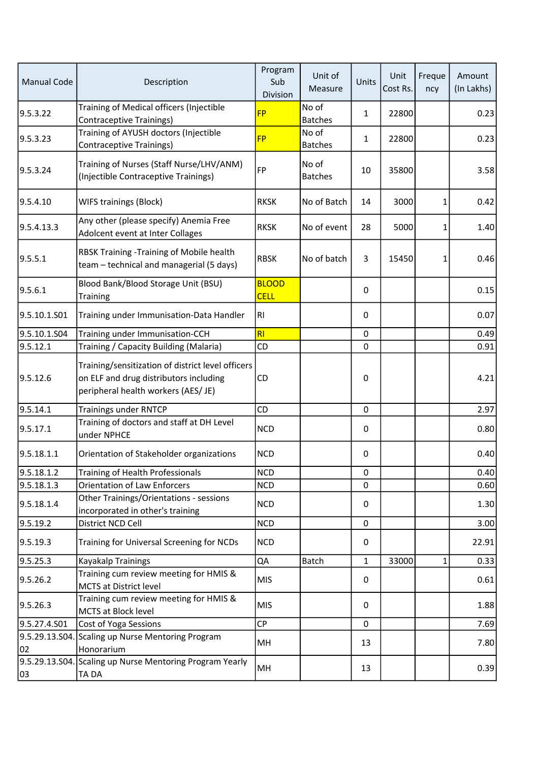| <b>Manual Code</b> | Description                                                                                                                        | Program<br>Sub<br>Division  | Unit of<br>Measure      | Units        | Unit<br>Cost Rs. | Freque<br>ncy | Amount<br>(In Lakhs) |
|--------------------|------------------------------------------------------------------------------------------------------------------------------------|-----------------------------|-------------------------|--------------|------------------|---------------|----------------------|
| 9.5.3.22           | Training of Medical officers (Injectible<br><b>Contraceptive Trainings)</b>                                                        | <b>FP</b>                   | No of<br><b>Batches</b> | $\mathbf{1}$ | 22800            |               | 0.23                 |
| 9.5.3.23           | Training of AYUSH doctors (Injectible<br>Contraceptive Trainings)                                                                  | <b>FP</b>                   | No of<br><b>Batches</b> | 1            | 22800            |               | 0.23                 |
| 9.5.3.24           | Training of Nurses (Staff Nurse/LHV/ANM)<br>(Injectible Contraceptive Trainings)                                                   | FP                          | No of<br><b>Batches</b> | 10           | 35800            |               | 3.58                 |
| 9.5.4.10           | <b>WIFS trainings (Block)</b>                                                                                                      | <b>RKSK</b>                 | No of Batch             | 14           | 3000             | 1             | 0.42                 |
| 9.5.4.13.3         | Any other (please specify) Anemia Free<br>Adolcent event at Inter Collages                                                         | <b>RKSK</b>                 | No of event             | 28           | 5000             | 1             | 1.40                 |
| 9.5.5.1            | RBSK Training - Training of Mobile health<br>team - technical and managerial (5 days)                                              | <b>RBSK</b>                 | No of batch             | 3            | 15450            | 1             | 0.46                 |
| 9.5.6.1            | Blood Bank/Blood Storage Unit (BSU)<br><b>Training</b>                                                                             | <b>BLOOD</b><br><b>CELL</b> |                         | $\mathbf 0$  |                  |               | 0.15                 |
| 9.5.10.1.S01       | Training under Immunisation-Data Handler                                                                                           | RI                          |                         | 0            |                  |               | 0.07                 |
| 9.5.10.1.S04       | Training under Immunisation-CCH                                                                                                    | RI                          |                         | 0            |                  |               | 0.49                 |
| 9.5.12.1           | Training / Capacity Building (Malaria)                                                                                             | CD                          |                         | $\mathbf 0$  |                  |               | 0.91                 |
| 9.5.12.6           | Training/sensitization of district level officers<br>on ELF and drug distributors including<br>peripheral health workers (AES/ JE) | CD                          |                         | 0            |                  |               | 4.21                 |
| 9.5.14.1           | <b>Trainings under RNTCP</b>                                                                                                       | CD                          |                         | $\pmb{0}$    |                  |               | 2.97                 |
| 9.5.17.1           | Training of doctors and staff at DH Level<br>under NPHCE                                                                           | <b>NCD</b>                  |                         | 0            |                  |               | 0.80                 |
| 9.5.18.1.1         | Orientation of Stakeholder organizations                                                                                           | <b>NCD</b>                  |                         | 0            |                  |               | 0.40                 |
| 9.5.18.1.2         | Training of Health Professionals                                                                                                   | <b>NCD</b>                  |                         | $\pmb{0}$    |                  |               | 0.40                 |
| 9.5.18.1.3         | <b>Orientation of Law Enforcers</b>                                                                                                | <b>NCD</b>                  |                         | 0            |                  |               | 0.60                 |
| 9.5.18.1.4         | Other Trainings/Orientations - sessions<br>incorporated in other's training                                                        | <b>NCD</b>                  |                         | 0            |                  |               | 1.30                 |
| 9.5.19.2           | District NCD Cell                                                                                                                  | <b>NCD</b>                  |                         | $\mathbf 0$  |                  |               | 3.00                 |
| 9.5.19.3           | Training for Universal Screening for NCDs                                                                                          | <b>NCD</b>                  |                         | $\pmb{0}$    |                  |               | 22.91                |
| 9.5.25.3           | <b>Kayakalp Trainings</b>                                                                                                          | QA                          | Batch                   | 1            | 33000            | $\mathbf{1}$  | 0.33                 |
| 9.5.26.2           | Training cum review meeting for HMIS &<br>MCTS at District level                                                                   | <b>MIS</b>                  |                         | 0            |                  |               | 0.61                 |
| 9.5.26.3           | Training cum review meeting for HMIS &<br>MCTS at Block level                                                                      | <b>MIS</b>                  |                         | 0            |                  |               | 1.88                 |
| 9.5.27.4.S01       | Cost of Yoga Sessions                                                                                                              | <b>CP</b>                   |                         | $\mathbf 0$  |                  |               | 7.69                 |
| 02                 | 9.5.29.13.S04. Scaling up Nurse Mentoring Program<br>Honorarium                                                                    | MH                          |                         | 13           |                  |               | 7.80                 |
| 03                 | 9.5.29.13.S04. Scaling up Nurse Mentoring Program Yearly<br><b>TADA</b>                                                            | MH                          |                         | 13           |                  |               | 0.39                 |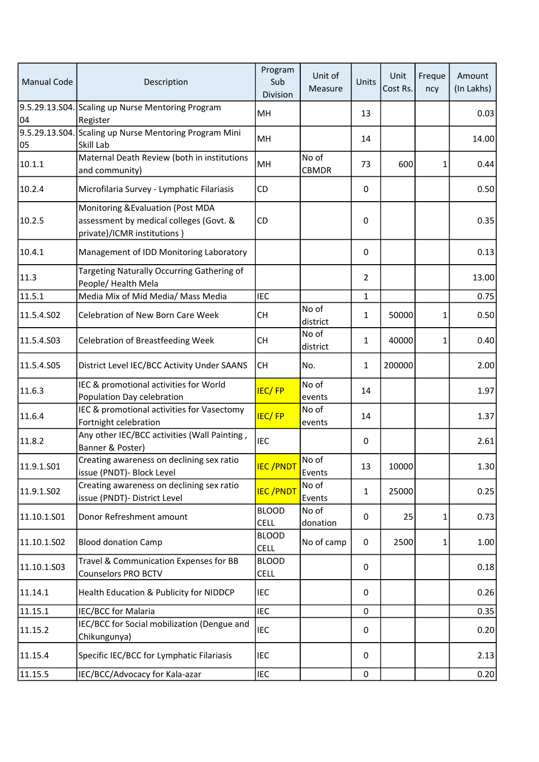| <b>Manual Code</b> | Description                                                                                                 | Program<br>Sub<br>Division  | Unit of<br>Measure    | Units          | Unit<br>Cost Rs. | Freque<br>ncy | Amount<br>(In Lakhs) |
|--------------------|-------------------------------------------------------------------------------------------------------------|-----------------------------|-----------------------|----------------|------------------|---------------|----------------------|
| 04                 | 9.5.29.13.S04. Scaling up Nurse Mentoring Program<br>Register                                               | MH                          |                       | 13             |                  |               | 0.03                 |
| 05                 | 9.5.29.13.S04. Scaling up Nurse Mentoring Program Mini<br>Skill Lab                                         | MH                          |                       | 14             |                  |               | 14.00                |
| 10.1.1             | Maternal Death Review (both in institutions<br>and community)                                               | MH                          | No of<br><b>CBMDR</b> | 73             | 600              | $\mathbf{1}$  | 0.44                 |
| 10.2.4             | Microfilaria Survey - Lymphatic Filariasis                                                                  | CD                          |                       | $\pmb{0}$      |                  |               | 0.50                 |
| 10.2.5             | Monitoring & Evaluation (Post MDA<br>assessment by medical colleges (Govt. &<br>private)/ICMR institutions) | CD                          |                       | 0              |                  |               | 0.35                 |
| 10.4.1             | Management of IDD Monitoring Laboratory                                                                     |                             |                       | $\mathbf 0$    |                  |               | 0.13                 |
| 11.3               | Targeting Naturally Occurring Gathering of<br>People/ Health Mela                                           |                             |                       | $\overline{2}$ |                  |               | 13.00                |
| 11.5.1             | Media Mix of Mid Media/ Mass Media                                                                          | <b>IEC</b>                  |                       | 1              |                  |               | 0.75                 |
| 11.5.4.S02         | Celebration of New Born Care Week                                                                           | <b>CH</b>                   | No of<br>district     | $\mathbf{1}$   | 50000            | 1             | 0.50                 |
| 11.5.4.S03         | <b>Celebration of Breastfeeding Week</b>                                                                    | CH                          | No of<br>district     | $\mathbf{1}$   | 40000            | 1             | 0.40                 |
| 11.5.4.S05         | District Level IEC/BCC Activity Under SAANS                                                                 | <b>CH</b>                   | No.                   | $\mathbf{1}$   | 200000           |               | 2.00                 |
| 11.6.3             | IEC & promotional activities for World<br>Population Day celebration                                        | <b>IEC/FP</b>               | No of<br>events       | 14             |                  |               | 1.97                 |
| 11.6.4             | IEC & promotional activities for Vasectomy<br>Fortnight celebration                                         | <b>IEC/FP</b>               | No of<br>events       | 14             |                  |               | 1.37                 |
| 11.8.2             | Any other IEC/BCC activities (Wall Painting,<br>Banner & Poster)                                            | IEC                         |                       | $\mathbf 0$    |                  |               | 2.61                 |
| 11.9.1.S01         | Creating awareness on declining sex ratio<br>issue (PNDT) - Block Level                                     | <b>IEC/PNDT</b>             | No of<br>Events       | 13             | 10000            |               | 1.30                 |
| 11.9.1.S02         | Creating awareness on declining sex ratio<br>issue (PNDT)- District Level                                   | <b>IEC/PNDT</b>             | No of<br>Events       | 1              | 25000            |               | 0.25                 |
| 11.10.1.501        | Donor Refreshment amount                                                                                    | <b>BLOOD</b><br><b>CELL</b> | No of<br>donation     | 0              | 25               | 1             | 0.73                 |
| 11.10.1.S02        | <b>Blood donation Camp</b>                                                                                  | <b>BLOOD</b><br><b>CELL</b> | No of camp            | $\mathbf 0$    | 2500             | 1             | 1.00                 |
| 11.10.1.503        | Travel & Communication Expenses for BB<br><b>Counselors PRO BCTV</b>                                        | <b>BLOOD</b><br><b>CELL</b> |                       | 0              |                  |               | 0.18                 |
| 11.14.1            | Health Education & Publicity for NIDDCP                                                                     | <b>IEC</b>                  |                       | 0              |                  |               | 0.26                 |
| 11.15.1            | IEC/BCC for Malaria                                                                                         | IEC                         |                       | 0              |                  |               | 0.35                 |
| 11.15.2            | IEC/BCC for Social mobilization (Dengue and<br>Chikungunya)                                                 | IEC                         |                       | 0              |                  |               | 0.20                 |
| 11.15.4            | Specific IEC/BCC for Lymphatic Filariasis                                                                   | <b>IEC</b>                  |                       | 0              |                  |               | 2.13                 |
| 11.15.5            | IEC/BCC/Advocacy for Kala-azar                                                                              | <b>IEC</b>                  |                       | $\pmb{0}$      |                  |               | 0.20                 |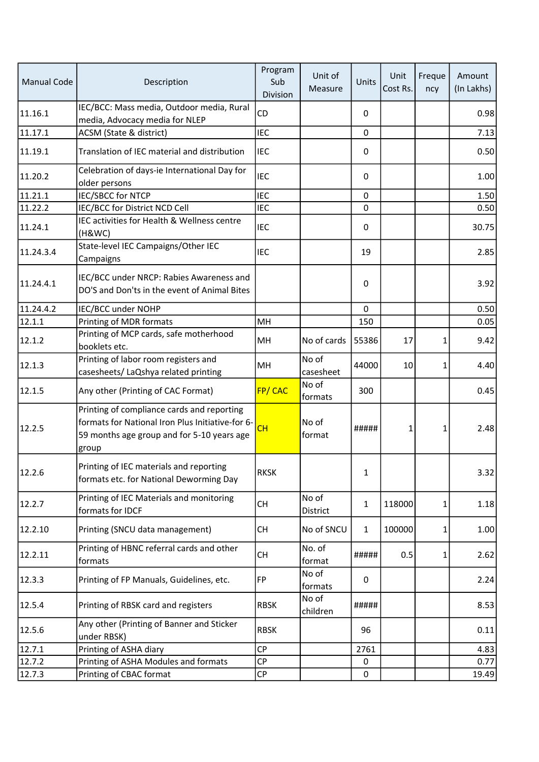| <b>Manual Code</b> | Description                                                                                                                                            | Program<br>Sub<br>Division | Unit of<br>Measure | Units        | Unit<br>Cost Rs. | Freque<br>ncy | Amount<br>(In Lakhs) |
|--------------------|--------------------------------------------------------------------------------------------------------------------------------------------------------|----------------------------|--------------------|--------------|------------------|---------------|----------------------|
| 11.16.1            | IEC/BCC: Mass media, Outdoor media, Rural<br>media, Advocacy media for NLEP                                                                            | CD                         |                    | 0            |                  |               | 0.98                 |
| 11.17.1            | ACSM (State & district)                                                                                                                                | <b>IEC</b>                 |                    | 0            |                  |               | 7.13                 |
| 11.19.1            | Translation of IEC material and distribution                                                                                                           | <b>IEC</b>                 |                    | 0            |                  |               | 0.50                 |
| 11.20.2            | Celebration of days-ie International Day for<br>older persons                                                                                          | <b>IEC</b>                 |                    | 0            |                  |               | 1.00                 |
| 11.21.1            | <b>IEC/SBCC for NTCP</b>                                                                                                                               | <b>IEC</b>                 |                    | 0            |                  |               | 1.50                 |
| 11.22.2            | IEC/BCC for District NCD Cell                                                                                                                          | <b>IEC</b>                 |                    | 0            |                  |               | 0.50                 |
| 11.24.1            | IEC activities for Health & Wellness centre<br>(H&WC)                                                                                                  | <b>IEC</b>                 |                    | 0            |                  |               | 30.75                |
| 11.24.3.4          | State-level IEC Campaigns/Other IEC<br>Campaigns                                                                                                       | <b>IEC</b>                 |                    | 19           |                  |               | 2.85                 |
| 11.24.4.1          | IEC/BCC under NRCP: Rabies Awareness and<br>DO'S and Don'ts in the event of Animal Bites                                                               |                            |                    | 0            |                  |               | 3.92                 |
| 11.24.4.2          | IEC/BCC under NOHP                                                                                                                                     |                            |                    | $\mathbf 0$  |                  |               | 0.50                 |
| 12.1.1             | Printing of MDR formats                                                                                                                                | MH                         |                    | 150          |                  |               | 0.05                 |
| 12.1.2             | Printing of MCP cards, safe motherhood<br>booklets etc.                                                                                                | MH                         | No of cards        | 55386        | 17               | 1             | 9.42                 |
| 12.1.3             | Printing of labor room registers and<br>casesheets/ LaQshya related printing                                                                           | MH                         | No of<br>casesheet | 44000        | 10               | $\mathbf{1}$  | 4.40                 |
| 12.1.5             | Any other (Printing of CAC Format)                                                                                                                     | <b>FP/CAC</b>              | No of<br>formats   | 300          |                  |               | 0.45                 |
| 12.2.5             | Printing of compliance cards and reporting<br>formats for National Iron Plus Initiative-for 6-<br>59 months age group and for 5-10 years age<br> group | CH                         | No of<br>format    | #####        | $\mathbf{1}$     | 1             | 2.48                 |
| 12.2.6             | Printing of IEC materials and reporting<br>formats etc. for National Deworming Day                                                                     | <b>RKSK</b>                |                    | 1            |                  |               | 3.32                 |
| 12.2.7             | Printing of IEC Materials and monitoring<br>formats for IDCF                                                                                           | <b>CH</b>                  | No of<br>District  | $\mathbf{1}$ | 118000           | 1             | 1.18                 |
| 12.2.10            | Printing (SNCU data management)                                                                                                                        | <b>CH</b>                  | No of SNCU         | $\mathbf{1}$ | 100000           | 1             | 1.00                 |
| 12.2.11            | Printing of HBNC referral cards and other<br>formats                                                                                                   | <b>CH</b>                  | No. of<br>format   | #####        | 0.5              | 1             | 2.62                 |
| 12.3.3             | Printing of FP Manuals, Guidelines, etc.                                                                                                               | FP                         | No of<br>formats   | 0            |                  |               | 2.24                 |
| 12.5.4             | Printing of RBSK card and registers                                                                                                                    | <b>RBSK</b>                | No of<br>children  | #####        |                  |               | 8.53                 |
| 12.5.6             | Any other (Printing of Banner and Sticker<br>under RBSK)                                                                                               | <b>RBSK</b>                |                    | 96           |                  |               | 0.11                 |
| 12.7.1             | Printing of ASHA diary                                                                                                                                 | <b>CP</b>                  |                    | 2761         |                  |               | 4.83                 |
| 12.7.2             | Printing of ASHA Modules and formats                                                                                                                   | <b>CP</b>                  |                    | 0            |                  |               | 0.77                 |
| 12.7.3             | Printing of CBAC format                                                                                                                                | $\mathsf{C}\mathsf{P}$     |                    | 0            |                  |               | 19.49                |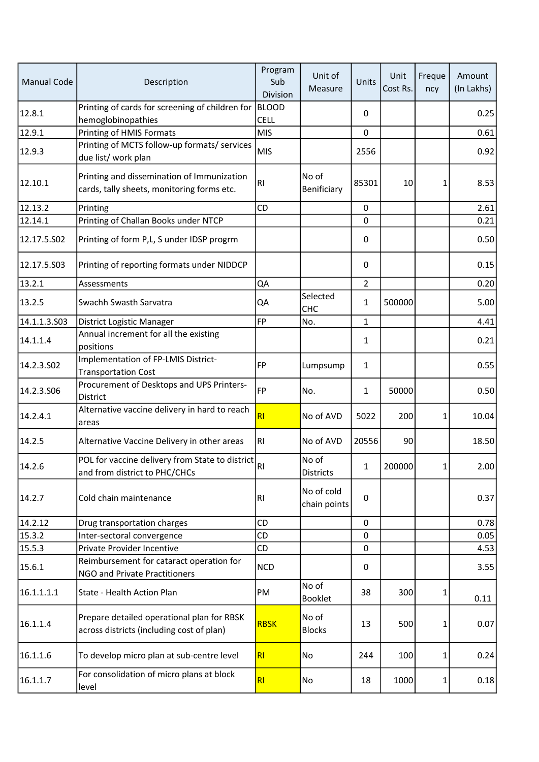| <b>Manual Code</b> | Description                                                                              | Program<br>Sub<br>Division  | Unit of<br>Measure         | Units          | Unit<br>Cost Rs. | Freque<br>ncy | Amount<br>(In Lakhs) |
|--------------------|------------------------------------------------------------------------------------------|-----------------------------|----------------------------|----------------|------------------|---------------|----------------------|
| 12.8.1             | Printing of cards for screening of children for<br>hemoglobinopathies                    | <b>BLOOD</b><br><b>CELL</b> |                            | 0              |                  |               | 0.25                 |
| 12.9.1             | Printing of HMIS Formats                                                                 | <b>MIS</b>                  |                            | $\mathbf 0$    |                  |               | 0.61                 |
| 12.9.3             | Printing of MCTS follow-up formats/ services<br>due list/ work plan                      | <b>MIS</b>                  |                            | 2556           |                  |               | 0.92                 |
| 12.10.1            | Printing and dissemination of Immunization<br>cards, tally sheets, monitoring forms etc. | R <sub>l</sub>              | No of<br>Benificiary       | 85301          | 10               | 1             | 8.53                 |
| 12.13.2            | Printing                                                                                 | CD                          |                            | $\mathbf 0$    |                  |               | 2.61                 |
| 12.14.1            | Printing of Challan Books under NTCP                                                     |                             |                            | 0              |                  |               | 0.21                 |
| 12.17.5.502        | Printing of form P,L, S under IDSP progrm                                                |                             |                            | 0              |                  |               | 0.50                 |
| 12.17.5.S03        | Printing of reporting formats under NIDDCP                                               |                             |                            | $\pmb{0}$      |                  |               | 0.15                 |
| 13.2.1             | Assessments                                                                              | QA                          |                            | $\overline{2}$ |                  |               | 0.20                 |
| 13.2.5             | Swachh Swasth Sarvatra                                                                   | QA                          | Selected<br>CHC            | $\mathbf{1}$   | 500000           |               | 5.00                 |
| 14.1.1.3.503       | District Logistic Manager                                                                | <b>FP</b>                   | No.                        | $\mathbf{1}$   |                  |               | 4.41                 |
| 14.1.1.4           | Annual increment for all the existing<br>positions                                       |                             |                            | $\mathbf{1}$   |                  |               | 0.21                 |
| 14.2.3.502         | Implementation of FP-LMIS District-<br><b>Transportation Cost</b>                        | <b>FP</b>                   | Lumpsump                   | $\mathbf{1}$   |                  |               | 0.55                 |
| 14.2.3.S06         | Procurement of Desktops and UPS Printers-<br>District                                    | FP                          | No.                        | 1              | 50000            |               | 0.50                 |
| 14.2.4.1           | Alternative vaccine delivery in hard to reach<br>areas                                   | RI                          | No of AVD                  | 5022           | 200              | 1             | 10.04                |
| 14.2.5             | Alternative Vaccine Delivery in other areas                                              | RI                          | No of AVD                  | 20556          | 90               |               | 18.50                |
| 14.2.6             | POL for vaccine delivery from State to district<br>and from district to PHC/CHCs         | RI                          | No of<br><b>Districts</b>  | $\mathbf{1}$   | 200000           | 1             | 2.00                 |
| 14.2.7             | Cold chain maintenance                                                                   | <b>RI</b>                   | No of cold<br>chain points | $\mathbf 0$    |                  |               | 0.37                 |
| 14.2.12            | Drug transportation charges                                                              | CD                          |                            | $\mathbf 0$    |                  |               | 0.78                 |
| 15.3.2             | Inter-sectoral convergence                                                               | CD                          |                            | 0              |                  |               | 0.05                 |
| 15.5.3             | Private Provider Incentive                                                               | <b>CD</b>                   |                            | $\mathbf 0$    |                  |               | 4.53                 |
| 15.6.1             | Reimbursement for cataract operation for<br>NGO and Private Practitioners                | <b>NCD</b>                  |                            | 0              |                  |               | 3.55                 |
| 16.1.1.1.1         | State - Health Action Plan                                                               | PM                          | No of<br><b>Booklet</b>    | 38             | 300              | 1             | 0.11                 |
| 16.1.1.4           | Prepare detailed operational plan for RBSK<br>across districts (including cost of plan)  | <b>RBSK</b>                 | No of<br><b>Blocks</b>     | 13             | 500              | 1             | 0.07                 |
| 16.1.1.6           | To develop micro plan at sub-centre level                                                | R <sub>l</sub>              | No                         | 244            | 100              | 1             | 0.24                 |
| 16.1.1.7           | For consolidation of micro plans at block<br>level                                       | R <sub>l</sub>              | No                         | 18             | 1000             | 1             | 0.18                 |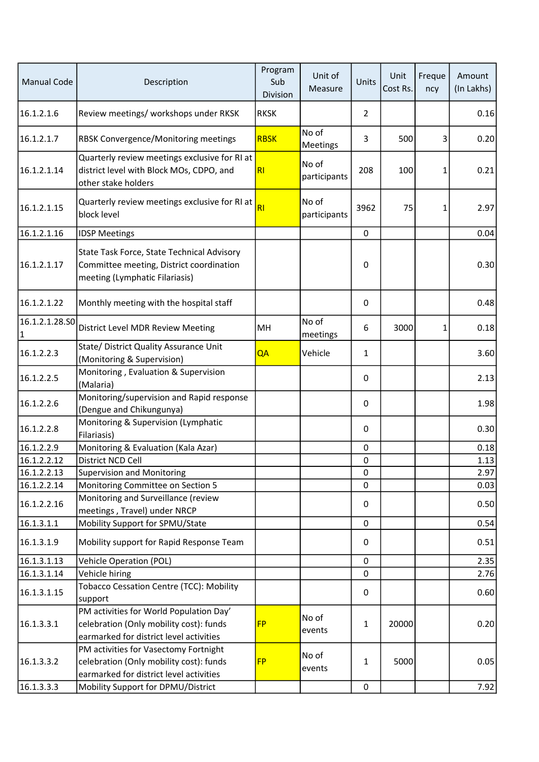| <b>Manual Code</b>  | Description                                                                                                                   | Program<br>Sub<br>Division | Unit of<br>Measure       | Units        | Unit<br>Cost Rs. | Freque<br>ncy | Amount<br>(In Lakhs) |
|---------------------|-------------------------------------------------------------------------------------------------------------------------------|----------------------------|--------------------------|--------------|------------------|---------------|----------------------|
| 16.1.2.1.6          | Review meetings/ workshops under RKSK                                                                                         | <b>RKSK</b>                |                          | 2            |                  |               | 0.16                 |
| 16.1.2.1.7          | RBSK Convergence/Monitoring meetings                                                                                          | <b>RBSK</b>                | No of<br><b>Meetings</b> | 3            | 500              | 3             | 0.20                 |
| 16.1.2.1.14         | Quarterly review meetings exclusive for RI at<br>district level with Block MOs, CDPO, and<br>other stake holders              | R1                         | No of<br>participants    | 208          | 100              | 1             | 0.21                 |
| 16.1.2.1.15         | Quarterly review meetings exclusive for RI at<br>block level                                                                  | RI                         | No of<br>participants    | 3962         | 75               | 1             | 2.97                 |
| 16.1.2.1.16         | <b>IDSP Meetings</b>                                                                                                          |                            |                          | $\mathbf 0$  |                  |               | 0.04                 |
| 16.1.2.1.17         | State Task Force, State Technical Advisory<br>Committee meeting, District coordination<br>meeting (Lymphatic Filariasis)      |                            |                          | 0            |                  |               | 0.30                 |
| 16.1.2.1.22         | Monthly meeting with the hospital staff                                                                                       |                            |                          | $\pmb{0}$    |                  |               | 0.48                 |
| 16.1.2.1.28.SO<br>1 | District Level MDR Review Meeting                                                                                             | MH                         | No of<br>meetings        | 6            | 3000             | $\mathbf{1}$  | 0.18                 |
| 16.1.2.2.3          | State/ District Quality Assurance Unit<br>(Monitoring & Supervision)                                                          | QA                         | Vehicle                  | $\mathbf{1}$ |                  |               | 3.60                 |
| 16.1.2.2.5          | Monitoring, Evaluation & Supervision<br>(Malaria)                                                                             |                            |                          | 0            |                  |               | 2.13                 |
| 16.1.2.2.6          | Monitoring/supervision and Rapid response<br>(Dengue and Chikungunya)                                                         |                            |                          | 0            |                  |               | 1.98                 |
| 16.1.2.2.8          | Monitoring & Supervision (Lymphatic<br>Filariasis)                                                                            |                            |                          | 0            |                  |               | 0.30                 |
| 16.1.2.2.9          | Monitoring & Evaluation (Kala Azar)                                                                                           |                            |                          | 0            |                  |               | 0.18                 |
| 16.1.2.2.12         | District NCD Cell                                                                                                             |                            |                          | 0            |                  |               | 1.13                 |
| 16.1.2.2.13         | <b>Supervision and Monitoring</b>                                                                                             |                            |                          | $\pmb{0}$    |                  |               | 2.97                 |
| 16.1.2.2.14         | Monitoring Committee on Section 5                                                                                             |                            |                          | 0            |                  |               | 0.03                 |
| 16.1.2.2.16         | Monitoring and Surveillance (review<br>meetings, Travel) under NRCP                                                           |                            |                          | $\pmb{0}$    |                  |               | 0.50                 |
| 16.1.3.1.1          | Mobility Support for SPMU/State                                                                                               |                            |                          | $\pmb{0}$    |                  |               | 0.54                 |
| 16.1.3.1.9          | Mobility support for Rapid Response Team                                                                                      |                            |                          | 0            |                  |               | 0.51                 |
| 16.1.3.1.13         | <b>Vehicle Operation (POL)</b>                                                                                                |                            |                          | $\pmb{0}$    |                  |               | 2.35                 |
| 16.1.3.1.14         | Vehicle hiring                                                                                                                |                            |                          | 0            |                  |               | 2.76                 |
| 16.1.3.1.15         | Tobacco Cessation Centre (TCC): Mobility<br>support                                                                           |                            |                          | $\pmb{0}$    |                  |               | 0.60                 |
| 16.1.3.3.1          | PM activities for World Population Day'<br>celebration (Only mobility cost): funds<br>earmarked for district level activities | <b>FP</b>                  | No of<br>events          | 1            | 20000            |               | 0.20                 |
| 16.1.3.3.2          | PM activities for Vasectomy Fortnight<br>celebration (Only mobility cost): funds<br>earmarked for district level activities   | <b>FP</b>                  | No of<br>events          | 1            | 5000             |               | 0.05                 |
| 16.1.3.3.3          | Mobility Support for DPMU/District                                                                                            |                            |                          | $\pmb{0}$    |                  |               | 7.92                 |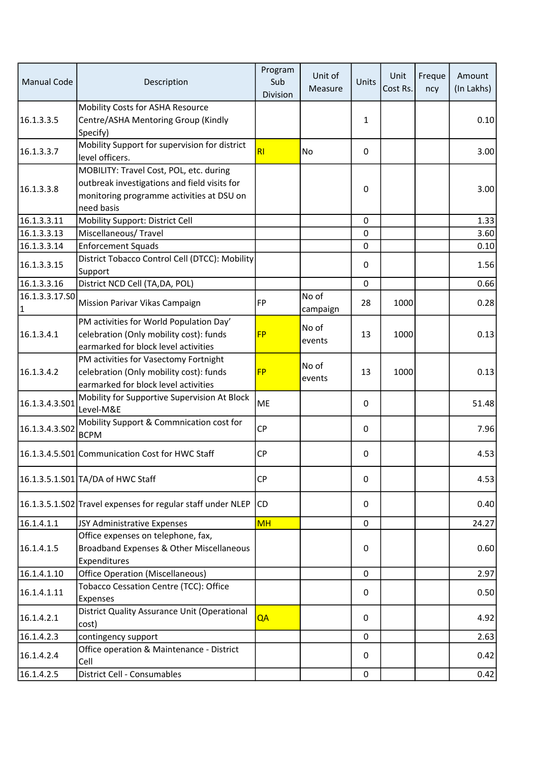| <b>Manual Code</b>            | Description                                                                                                                                        | Program<br>Sub<br>Division | Unit of<br>Measure | Units        | Unit<br>Cost Rs. | Freque<br>ncy | Amount<br>(In Lakhs) |
|-------------------------------|----------------------------------------------------------------------------------------------------------------------------------------------------|----------------------------|--------------------|--------------|------------------|---------------|----------------------|
| 16.1.3.3.5                    | Mobility Costs for ASHA Resource<br>Centre/ASHA Mentoring Group (Kindly<br>Specify)                                                                |                            |                    | $\mathbf{1}$ |                  |               | 0.10                 |
| 16.1.3.3.7                    | Mobility Support for supervision for district<br>level officers.                                                                                   | RI                         | No                 | 0            |                  |               | 3.00                 |
| 16.1.3.3.8                    | MOBILITY: Travel Cost, POL, etc. during<br>outbreak investigations and field visits for<br>monitoring programme activities at DSU on<br>need basis |                            |                    | 0            |                  |               | 3.00                 |
| 16.1.3.3.11                   | Mobility Support: District Cell                                                                                                                    |                            |                    | 0            |                  |               | 1.33                 |
| 16.1.3.3.13                   | Miscellaneous/Travel                                                                                                                               |                            |                    | 0            |                  |               | 3.60                 |
| 16.1.3.3.14                   | <b>Enforcement Squads</b>                                                                                                                          |                            |                    | $\mathbf 0$  |                  |               | 0.10                 |
| 16.1.3.3.15                   | District Tobacco Control Cell (DTCC): Mobility<br>Support                                                                                          |                            |                    | 0            |                  |               | 1.56                 |
| 16.1.3.3.16                   | District NCD Cell (TA, DA, POL)                                                                                                                    |                            |                    | $\mathbf 0$  |                  |               | 0.66                 |
| 16.1.3.3.17.SO<br>$\mathbf 1$ | Mission Parivar Vikas Campaign                                                                                                                     | FP                         | No of<br>campaign  | 28           | 1000             |               | 0.28                 |
| 16.1.3.4.1                    | PM activities for World Population Day'<br>celebration (Only mobility cost): funds<br>earmarked for block level activities                         | <b>FP</b>                  | No of<br>events    | 13           | 1000             |               | 0.13                 |
| 16.1.3.4.2                    | PM activities for Vasectomy Fortnight<br>celebration (Only mobility cost): funds<br>earmarked for block level activities                           | <b>FP</b>                  | No of<br>events    | 13           | 1000             |               | 0.13                 |
| 16.1.3.4.3.S01                | Mobility for Supportive Supervision At Block<br>Level-M&E                                                                                          | <b>ME</b>                  |                    | 0            |                  |               | 51.48                |
| 16.1.3.4.3.502                | Mobility Support & Commnication cost for<br><b>BCPM</b>                                                                                            | <b>CP</b>                  |                    | 0            |                  |               | 7.96                 |
|                               | 16.1.3.4.5.S01 Communication Cost for HWC Staff                                                                                                    | <b>CP</b>                  |                    | 0            |                  |               | 4.53                 |
|                               | 16.1.3.5.1.S01 TA/DA of HWC Staff                                                                                                                  | <b>CP</b>                  |                    | 0            |                  |               | 4.53                 |
|                               | 16.1.3.5.1.S02 Travel expenses for regular staff under NLEP CD                                                                                     |                            |                    | 0            |                  |               | 0.40                 |
| 16.1.4.1.1                    | JSY Administrative Expenses                                                                                                                        | <b>MH</b>                  |                    | $\pmb{0}$    |                  |               | 24.27                |
| 16.1.4.1.5                    | Office expenses on telephone, fax,<br>Broadband Expenses & Other Miscellaneous<br>Expenditures                                                     |                            |                    | $\pmb{0}$    |                  |               | 0.60                 |
| 16.1.4.1.10                   | <b>Office Operation (Miscellaneous)</b>                                                                                                            |                            |                    | 0            |                  |               | 2.97                 |
| 16.1.4.1.11                   | Tobacco Cessation Centre (TCC): Office<br>Expenses                                                                                                 |                            |                    | 0            |                  |               | 0.50                 |
| 16.1.4.2.1                    | District Quality Assurance Unit (Operational<br>cost)                                                                                              | QA                         |                    | 0            |                  |               | 4.92                 |
| 16.1.4.2.3                    | contingency support                                                                                                                                |                            |                    | $\pmb{0}$    |                  |               | 2.63                 |
| 16.1.4.2.4                    | Office operation & Maintenance - District<br>Cell                                                                                                  |                            |                    | 0            |                  |               | 0.42                 |
| 16.1.4.2.5                    | District Cell - Consumables                                                                                                                        |                            |                    | $\mathbf 0$  |                  |               | 0.42                 |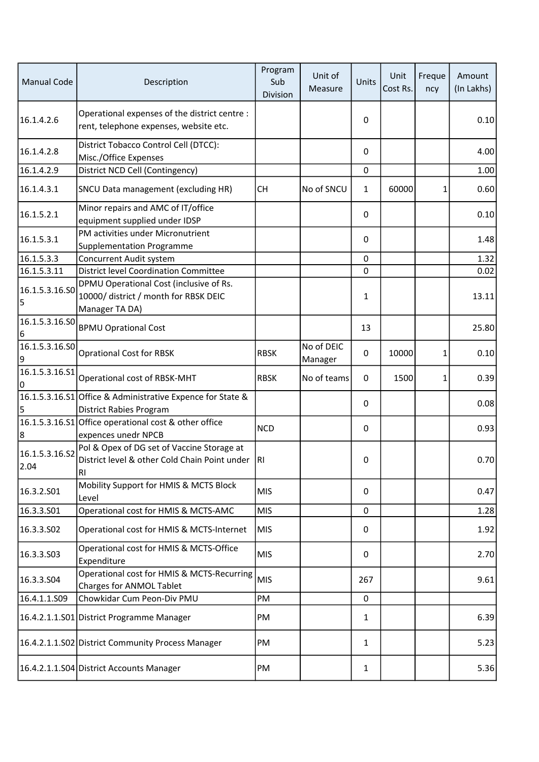| <b>Manual Code</b>     | Description                                                                                        | Program<br>Sub<br>Division | Unit of<br>Measure    | Units        | Unit<br>Cost Rs. | Freque<br>ncy | Amount<br>(In Lakhs) |
|------------------------|----------------------------------------------------------------------------------------------------|----------------------------|-----------------------|--------------|------------------|---------------|----------------------|
| 16.1.4.2.6             | Operational expenses of the district centre :<br>rent, telephone expenses, website etc.            |                            |                       | 0            |                  |               | 0.10                 |
| 16.1.4.2.8             | District Tobacco Control Cell (DTCC):<br>Misc./Office Expenses                                     |                            |                       | $\pmb{0}$    |                  |               | 4.00                 |
| 16.1.4.2.9             | District NCD Cell (Contingency)                                                                    |                            |                       | $\mathbf 0$  |                  |               | 1.00                 |
| 16.1.4.3.1             | SNCU Data management (excluding HR)                                                                | <b>CH</b>                  | No of SNCU            | 1            | 60000            | 1             | 0.60                 |
| 16.1.5.2.1             | Minor repairs and AMC of IT/office<br>equipment supplied under IDSP                                |                            |                       | 0            |                  |               | 0.10                 |
| 16.1.5.3.1             | PM activities under Micronutrient<br>Supplementation Programme                                     |                            |                       | 0            |                  |               | 1.48                 |
| 16.1.5.3.3             | Concurrent Audit system                                                                            |                            |                       | 0            |                  |               | 1.32                 |
| 16.1.5.3.11            | <b>District level Coordination Committee</b>                                                       |                            |                       | 0            |                  |               | 0.02                 |
| 16.1.5.3.16.SO<br>5    | DPMU Operational Cost (inclusive of Rs.<br>10000/ district / month for RBSK DEIC<br>Manager TA DA) |                            |                       | $\mathbf{1}$ |                  |               | 13.11                |
| 16.1.5.3.16.SO<br>6    | <b>BPMU Oprational Cost</b>                                                                        |                            |                       | 13           |                  |               | 25.80                |
| 16.1.5.3.16.50<br>9    | <b>Oprational Cost for RBSK</b>                                                                    | <b>RBSK</b>                | No of DEIC<br>Manager | 0            | 10000            | 1             | 0.10                 |
| 16.1.5.3.16.S1<br>0    | Operational cost of RBSK-MHT                                                                       | <b>RBSK</b>                | No of teams           | $\mathbf 0$  | 1500             | 1             | 0.39                 |
| 5                      | 16.1.5.3.16.S1 Office & Administrative Expence for State &<br>District Rabies Program              |                            |                       | 0            |                  |               | 0.08                 |
| 8                      | 16.1.5.3.16.S1 Office operational cost & other office<br>expences unedr NPCB                       | <b>NCD</b>                 |                       | 0            |                  |               | 0.93                 |
| 16.1.5.3.16.S2<br>2.04 | Pol & Opex of DG set of Vaccine Storage at<br>District level & other Cold Chain Point under<br>RI  | RI.                        |                       | 0            |                  |               | 0.70                 |
| 16.3.2.S01             | Mobility Support for HMIS & MCTS Block<br>Level                                                    | <b>MIS</b>                 |                       | 0            |                  |               | 0.47                 |
| 16.3.3.501             | Operational cost for HMIS & MCTS-AMC                                                               | <b>MIS</b>                 |                       | $\mathbf 0$  |                  |               | 1.28                 |
| 16.3.3.502             | Operational cost for HMIS & MCTS-Internet                                                          | MIS                        |                       | 0            |                  |               | 1.92                 |
| 16.3.3.503             | Operational cost for HMIS & MCTS-Office<br>Expenditure                                             | <b>MIS</b>                 |                       | 0            |                  |               | 2.70                 |
| 16.3.3.S04             | Operational cost for HMIS & MCTS-Recurring<br>Charges for ANMOL Tablet                             | <b>MIS</b>                 |                       | 267          |                  |               | 9.61                 |
| 16.4.1.1.S09           | Chowkidar Cum Peon-Div PMU                                                                         | PM                         |                       | $\mathbf 0$  |                  |               |                      |
|                        | 16.4.2.1.1.S01 District Programme Manager                                                          | PM                         |                       | $\mathbf{1}$ |                  |               | 6.39                 |
|                        | 16.4.2.1.1.S02 District Community Process Manager                                                  | PM                         |                       | $\mathbf{1}$ |                  |               | 5.23                 |
|                        | 16.4.2.1.1.S04 District Accounts Manager                                                           | PM                         |                       | 1            |                  |               | 5.36                 |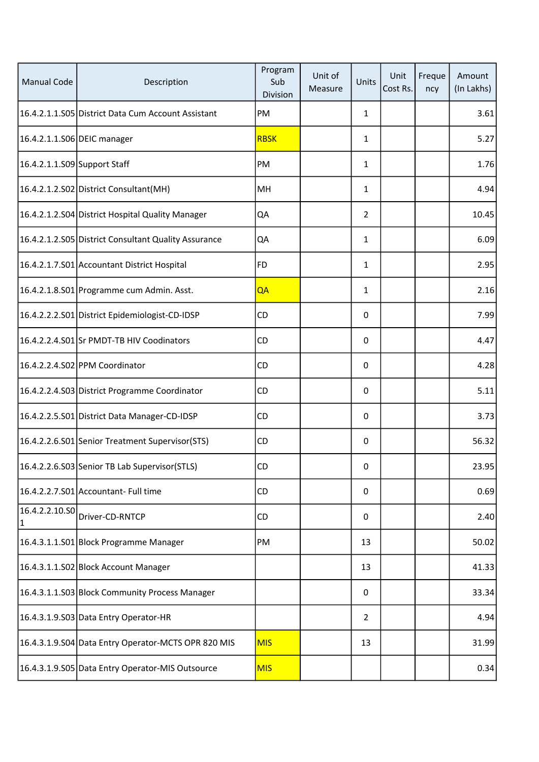| <b>Manual Code</b>           | Description                                          | Program<br>Sub<br>Division | Unit of<br>Measure | Units          | Unit<br>Cost Rs. | Freque<br>ncy | Amount<br>(In Lakhs) |
|------------------------------|------------------------------------------------------|----------------------------|--------------------|----------------|------------------|---------------|----------------------|
|                              | 16.4.2.1.1.S05 District Data Cum Account Assistant   | PM                         |                    | $\mathbf{1}$   |                  |               | 3.61                 |
| 16.4.2.1.1.S06 DEIC manager  |                                                      | <b>RBSK</b>                |                    | $\mathbf{1}$   |                  |               | 5.27                 |
| 16.4.2.1.1.S09 Support Staff |                                                      | PM                         |                    | $\mathbf{1}$   |                  |               | 1.76                 |
|                              | 16.4.2.1.2.S02 District Consultant (MH)              | MH                         |                    | $\mathbf{1}$   |                  |               | 4.94                 |
|                              | 16.4.2.1.2.S04 District Hospital Quality Manager     | QA                         |                    | $\overline{2}$ |                  |               | 10.45                |
|                              | 16.4.2.1.2.S05 District Consultant Quality Assurance | QA                         |                    | $\mathbf{1}$   |                  |               | 6.09                 |
|                              | 16.4.2.1.7.S01 Accountant District Hospital          | <b>FD</b>                  |                    | 1              |                  |               | 2.95                 |
|                              | 16.4.2.1.8.S01 Programme cum Admin. Asst.            | QA                         |                    | $\mathbf{1}$   |                  |               | 2.16                 |
|                              | 16.4.2.2.2.S01 District Epidemiologist-CD-IDSP       | CD                         |                    | $\Omega$       |                  |               | 7.99                 |
|                              | 16.4.2.2.4.S01 Sr PMDT-TB HIV Coodinators            | CD                         |                    | 0              |                  |               | 4.47                 |
|                              | 16.4.2.2.4.S02 PPM Coordinator                       | CD                         |                    | 0              |                  |               | 4.28                 |
|                              | 16.4.2.2.4.S03 District Programme Coordinator        | CD                         |                    | 0              |                  |               | 5.11                 |
|                              | 16.4.2.2.5.S01 District Data Manager-CD-IDSP         | CD                         |                    | 0              |                  |               | 3.73                 |
|                              | 16.4.2.2.6.S01 Senior Treatment Supervisor (STS)     | CD                         |                    | 0              |                  |               | 56.32                |
|                              | 16.4.2.2.6.S03 Senior TB Lab Supervisor(STLS)        | ${\sf CD}$                 |                    | 0              |                  |               | 23.95                |
|                              | 16.4.2.2.7.S01 Accountant- Full time                 | CD                         |                    | 0              |                  |               | 0.69                 |
| 16.4.2.2.10.SO<br> 1         | Driver-CD-RNTCP                                      | CD                         |                    | 0              |                  |               | 2.40                 |
|                              | 16.4.3.1.1.S01 Block Programme Manager               | PM                         |                    | 13             |                  |               | 50.02                |
|                              | 16.4.3.1.1.S02 Block Account Manager                 |                            |                    | 13             |                  |               | 41.33                |
|                              | 16.4.3.1.1.S03 Block Community Process Manager       |                            |                    | 0              |                  |               | 33.34                |
|                              | 16.4.3.1.9.S03 Data Entry Operator-HR                |                            |                    | $\overline{2}$ |                  |               | 4.94                 |
|                              | 16.4.3.1.9.S04 Data Entry Operator-MCTS OPR 820 MIS  | <b>MIS</b>                 |                    | 13             |                  |               | 31.99                |
|                              | 16.4.3.1.9.S05 Data Entry Operator-MIS Outsource     | <b>MIS</b>                 |                    |                |                  |               | 0.34                 |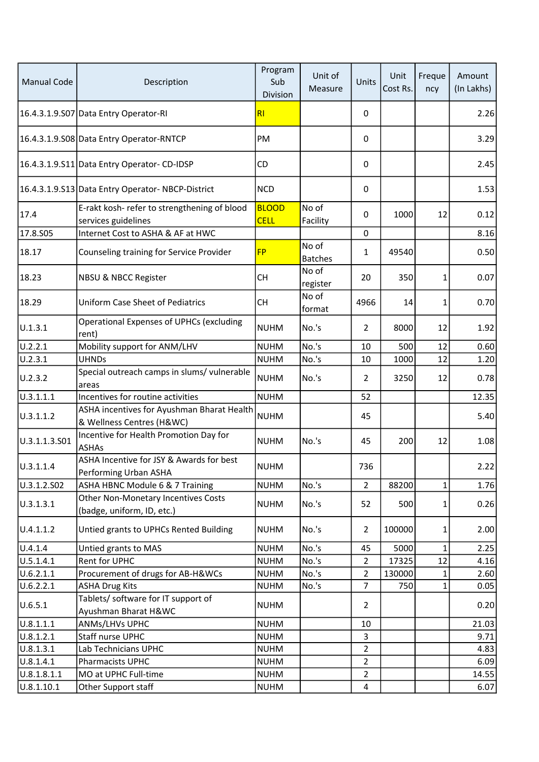| <b>Manual Code</b> | Description                                                             | Program<br>Sub<br>Division  | Unit of<br>Measure      | Units          | Unit<br>Cost Rs. | Freque<br>ncy | Amount<br>(In Lakhs) |
|--------------------|-------------------------------------------------------------------------|-----------------------------|-------------------------|----------------|------------------|---------------|----------------------|
|                    | 16.4.3.1.9.S07 Data Entry Operator-RI                                   | RI                          |                         | 0              |                  |               | 2.26                 |
|                    | 16.4.3.1.9.S08 Data Entry Operator-RNTCP                                | PM                          |                         | 0              |                  |               | 3.29                 |
|                    | 16.4.3.1.9.S11 Data Entry Operator- CD-IDSP                             | <b>CD</b>                   |                         | 0              |                  |               | 2.45                 |
|                    | 16.4.3.1.9.S13 Data Entry Operator-NBCP-District                        | <b>NCD</b>                  |                         | 0              |                  |               | 1.53                 |
| 17.4               | E-rakt kosh- refer to strengthening of blood<br>services guidelines     | <b>BLOOD</b><br><b>CELL</b> | No of<br>Facility       | 0              | 1000             | 12            | 0.12                 |
| 17.8.S05           | Internet Cost to ASHA & AF at HWC                                       |                             |                         | $\mathbf 0$    |                  |               | 8.16                 |
| 18.17              | Counseling training for Service Provider                                | <b>FP</b>                   | No of<br><b>Batches</b> | $\mathbf{1}$   | 49540            |               | 0.50                 |
| 18.23              | <b>NBSU &amp; NBCC Register</b>                                         | <b>CH</b>                   | No of<br>register       | 20             | 350              | 1             | 0.07                 |
| 18.29              | <b>Uniform Case Sheet of Pediatrics</b>                                 | <b>CH</b>                   | No of<br>format         | 4966           | 14               | 1             | 0.70                 |
| U.1.3.1            | <b>Operational Expenses of UPHCs (excluding</b><br>rent)                | <b>NUHM</b>                 | No.'s                   | $\overline{2}$ | 8000             | 12            | 1.92                 |
| U.2.2.1            | Mobility support for ANM/LHV                                            | <b>NUHM</b>                 | No.'s                   | 10             | 500              | 12            | 0.60                 |
| U.2.3.1            | <b>UHNDs</b>                                                            | <b>NUHM</b>                 | No.'s                   | 10             | 1000             | 12            | 1.20                 |
| U.2.3.2            | Special outreach camps in slums/ vulnerable<br>areas                    | <b>NUHM</b>                 | No.'s                   | $\overline{2}$ | 3250             | 12            | 0.78                 |
| 0.3.1.1.1          | Incentives for routine activities                                       | <b>NUHM</b>                 |                         | 52             |                  |               | 12.35                |
| U.3.1.1.2          | ASHA incentives for Ayushman Bharat Health<br>& Wellness Centres (H&WC) | <b>NUHM</b>                 |                         | 45             |                  |               | 5.40                 |
| U.3.1.1.3.S01      | Incentive for Health Promotion Day for<br><b>ASHAs</b>                  | <b>NUHM</b>                 | No.'s                   | 45             | 200              | 12            | 1.08                 |
| U.3.1.1.4          | ASHA Incentive for JSY & Awards for best<br>Performing Urban ASHA       | <b>NUHM</b>                 |                         | 736            |                  |               | 2.22                 |
| U.3.1.2.S02        | ASHA HBNC Module 6 & 7 Training                                         | <b>NUHM</b>                 | No.'s                   | $\overline{2}$ | 88200            | $\mathbf{1}$  | 1.76                 |
| U.3.1.3.1          | Other Non-Monetary Incentives Costs<br>(badge, uniform, ID, etc.)       | <b>NUHM</b>                 | No.'s                   | 52             | 500              | 1             | 0.26                 |
| U.4.1.1.2          | Untied grants to UPHCs Rented Building                                  | <b>NUHM</b>                 | No.'s                   | $\overline{2}$ | 100000           | 1             | 2.00                 |
| U.4.1.4            | Untied grants to MAS                                                    | <b>NUHM</b>                 | No.'s                   | 45             | 5000             | 1             | 2.25                 |
| U.5.1.4.1          | <b>Rent for UPHC</b>                                                    | <b>NUHM</b>                 | No.'s                   | $\overline{2}$ | 17325            | 12            | 4.16                 |
| U.6.2.1.1          | Procurement of drugs for AB-H&WCs                                       | <b>NUHM</b>                 | No.'s                   | $\overline{2}$ | 130000           | 1             | 2.60                 |
| U.6.2.2.1          | <b>ASHA Drug Kits</b>                                                   | <b>NUHM</b>                 | No.'s                   | $\overline{7}$ | 750              | $\mathbf{1}$  | 0.05                 |
| U.6.5.1            | Tablets/ software for IT support of<br>Ayushman Bharat H&WC             | <b>NUHM</b>                 |                         | $\overline{2}$ |                  |               | 0.20                 |
| 0.8.1.1.1          | ANMs/LHVs UPHC                                                          | <b>NUHM</b>                 |                         | 10             |                  |               | 21.03                |
| U.8.1.2.1          | <b>Staff nurse UPHC</b>                                                 | <b>NUHM</b>                 |                         | 3              |                  |               | 9.71                 |
| U.8.1.3.1          | Lab Technicians UPHC                                                    | <b>NUHM</b>                 |                         | $\overline{2}$ |                  |               | 4.83                 |
| U.8.1.4.1          | Pharmacists UPHC                                                        | <b>NUHM</b>                 |                         | $\overline{2}$ |                  |               | 6.09                 |
| U.8.1.8.1.1        | MO at UPHC Full-time                                                    | <b>NUHM</b>                 |                         | $\overline{2}$ |                  |               | 14.55                |
| U.8.1.10.1         | Other Support staff                                                     | <b>NUHM</b>                 |                         | $\overline{4}$ |                  |               | 6.07                 |